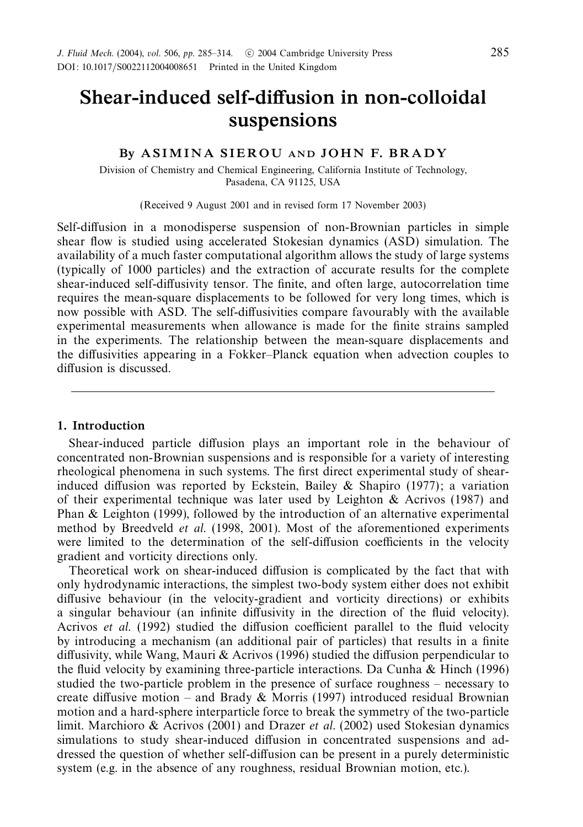# *Shear-induced self-diffusion in non-colloidal suspensions*

# By ASIMINA SIEROU AND JOHN F. BRADY

Division of Chemistry and Chemical Engineering, California Institute of Technology, Pasadena, CA 91125, USA

(Received 9 August 2001 and in revised form 17 November 2003)

Self-diffusion in a monodisperse suspension of non-Brownian particles in simple shear flow is studied using accelerated Stokesian dynamics (ASD) simulation. The availability of a much faster computational algorithm allows the study of large systems (typically of 1000 particles) and the extraction of accurate results for the complete shear-induced self-diffusivity tensor. The finite, and often large, autocorrelation time requires the mean-square displacements to be followed for very long times, which is now possible with ASD. The self-diffusivities compare favourably with the available experimental measurements when allowance is made for the finite strains sampled in the experiments. The relationship between the mean-square displacements and the diffusivities appearing in a Fokker–Planck equation when advection couples to diffusion is discussed.

## *1. Introduction*

Shear-induced particle diffusion plays an important role in the behaviour of concentrated non-Brownian suspensions and is responsible for a variety of interesting rheological phenomena in such systems. The first direct experimental study of shearinduced diffusion was reported by Eckstein, Bailey & Shapiro (1977); a variation of their experimental technique was later used by Leighton  $\&$  Acrivos (1987) and Phan & Leighton (1999), followed by the introduction of an alternative experimental method by Breedveld et al. (1998, 2001). Most of the aforementioned experiments were limited to the determination of the self-diffusion coefficients in the velocity gradient and vorticity directions only.

Theoretical work on shear-induced diffusion is complicated by the fact that with only hydrodynamic interactions, the simplest two-body system either does not exhibit diffusive behaviour (in the velocity-gradient and vorticity directions) or exhibits a singular behaviour (an infinite diffusivity in the direction of the fluid velocity). Acrivos et al. (1992) studied the diffusion coefficient parallel to the fluid velocity by introducing a mechanism (an additional pair of particles) that results in a finite diffusivity, while Wang, Mauri & Acrivos (1996) studied the diffusion perpendicular to the fluid velocity by examining three-particle interactions. Da Cunha & Hinch (1996) studied the two-particle problem in the presence of surface roughness – necessary to create diffusive motion – and Brady & Morris (1997) introduced residual Brownian motion and a hard-sphere interparticle force to break the symmetry of the two-particle limit. Marchioro & Acrivos (2001) and Drazer *et al.* (2002) used Stokesian dynamics simulations to study shear-induced diffusion in concentrated suspensions and addressed the question of whether self-diffusion can be present in a purely deterministic system (e.g. in the absence of any roughness, residual Brownian motion, etc.).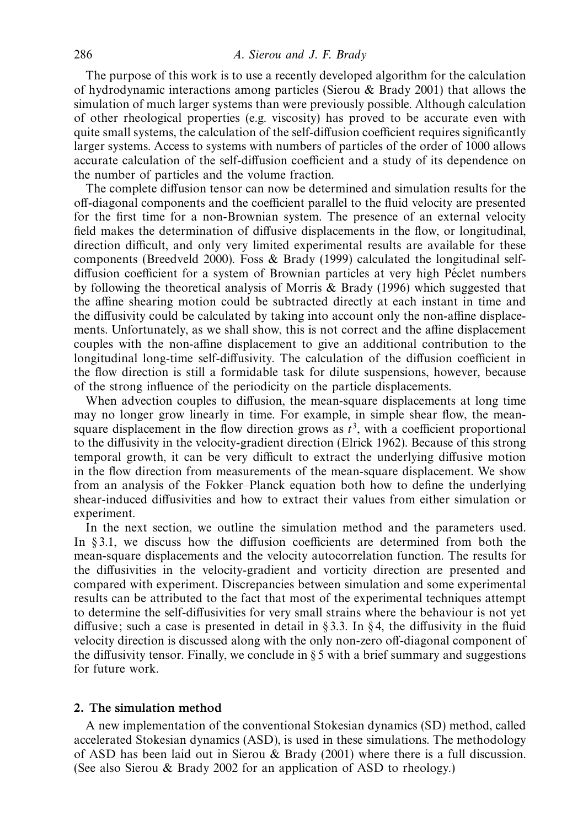The purpose of this work is to use a recently developed algorithm for the calculation of hydrodynamic interactions among particles (Sierou & Brady 2001) that allows the simulation of much larger systems than were previously possible. Although calculation of other rheological properties (e.g. viscosity) has proved to be accurate even with quite small systems, the calculation of the self-diffusion coefficient requires significantly larger systems. Access to systems with numbers of particles of the order of 1000 allows accurate calculation of the self-diffusion coefficient and a study of its dependence on the number of particles and the volume fraction.

The complete diffusion tensor can now be determined and simulation results for the off-diagonal components and the coefficient parallel to the fluid velocity are presented for the first time for a non-Brownian system. The presence of an external velocity field makes the determination of diffusive displacements in the flow, or longitudinal, direction difficult, and only very limited experimental results are available for these components (Breedveld 2000). Foss & Brady (1999) calculated the longitudinal selfdiffusion coefficient for a system of Brownian particles at very high Péclet numbers by following the theoretical analysis of Morris & Brady (1996) which suggested that the affine shearing motion could be subtracted directly at each instant in time and the diffusivity could be calculated by taking into account only the non-affine displacements. Unfortunately, as we shall show, this is not correct and the affine displacement couples with the non-affine displacement to give an additional contribution to the longitudinal long-time self-diffusivity. The calculation of the diffusion coefficient in the flow direction is still a formidable task for dilute suspensions, however, because of the strong influence of the periodicity on the particle displacements.

When advection couples to diffusion, the mean-square displacements at long time may no longer grow linearly in time. For example, in simple shear flow, the meansquare displacement in the flow direction grows as  $t^3$ , with a coefficient proportional to the diffusivity in the velocity-gradient direction (Elrick 1962). Because of this strong temporal growth, it can be very difficult to extract the underlying diffusive motion in the flow direction from measurements of the mean-square displacement. We show from an analysis of the Fokker–Planck equation both how to define the underlying shear-induced diffusivities and how to extract their values from either simulation or experiment.

In the next section, we outline the simulation method and the parameters used. In § 3.1, we discuss how the diffusion coefficients are determined from both the mean-square displacements and the velocity autocorrelation function. The results for the diffusivities in the velocity-gradient and vorticity direction are presented and compared with experiment. Discrepancies between simulation and some experimental results can be attributed to the fact that most of the experimental techniques attempt to determine the self-diffusivities for very small strains where the behaviour is not yet diffusive; such a case is presented in detail in  $\S$ 3.3. In  $\S$ 4, the diffusivity in the fluid velocity direction is discussed along with the only non-zero off-diagonal component of the diffusivity tensor. Finally, we conclude in  $\S 5$  with a brief summary and suggestions for future work.

#### *2. The simulation method*

A new implementation of the conventional Stokesian dynamics (SD) method, called accelerated Stokesian dynamics (ASD), is used in these simulations. The methodology of ASD has been laid out in Sierou & Brady (2001) where there is a full discussion. (See also Sierou & Brady 2002 for an application of ASD to rheology.)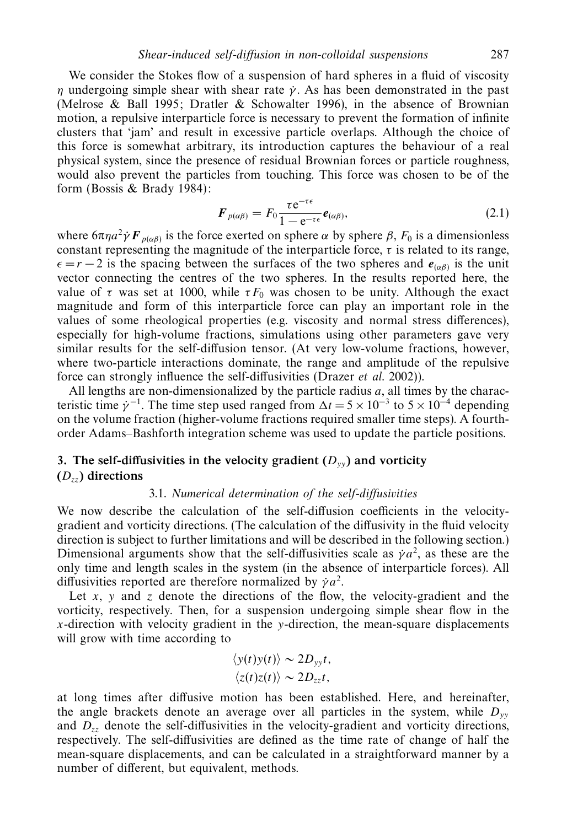We consider the Stokes flow of a suspension of hard spheres in a fluid of viscosity *η* undergoing simple shear with shear rate *γ*˙. As has been demonstrated in the past (Melrose & Ball 1995; Dratler & Schowalter 1996), in the absence of Brownian motion, a repulsive interparticle force is necessary to prevent the formation of infinite clusters that 'jam' and result in excessive particle overlaps. Although the choice of this force is somewhat arbitrary, its introduction captures the behaviour of a real physical system, since the presence of residual Brownian forces or particle roughness, would also prevent the particles from touching. This force was chosen to be of the form (Bossis & Brady 1984):

$$
\boldsymbol{F}_{p(\alpha\beta)} = F_0 \frac{\tau e^{-\tau \epsilon}}{1 - e^{-\tau \epsilon}} \boldsymbol{e}_{(\alpha\beta)},
$$
\n(2.1)

where  $6\pi\eta a^2\gamma F_{p(\alpha\beta)}$  is the force exerted on sphere *α* by sphere *β*, *F*<sub>0</sub> is a dimensionless constant representing the magnitude of the interparticle force,  $\tau$  is related to its range,  $\epsilon = r - 2$  is the spacing between the surfaces of the two spheres and  $e_{(\alpha\beta)}$  is the unit vector connecting the centres of the two spheres. In the results reported here, the value of *τ* was set at 1000, while  $\tau F_0$  was chosen to be unity. Although the exact magnitude and form of this interparticle force can play an important role in the values of some rheological properties (e.g. viscosity and normal stress differences), especially for high-volume fractions, simulations using other parameters gave very similar results for the self-diffusion tensor. (At very low-volume fractions, however, where two-particle interactions dominate, the range and amplitude of the repulsive force can strongly influence the self-diffusivities (Drazer et al. 2002)).

All lengths are non-dimensionalized by the particle radius *a*, all times by the characteristic time  $\dot{\gamma}$ <sup>-1</sup>. The time step used ranged from  $\Delta t = 5 \times 10^{-3}$  to  $5 \times 10^{-4}$  depending on the volume fraction (higher-volume fractions required smaller time steps). A fourthorder Adams–Bashforth integration scheme was used to update the particle positions.

# *3. The self-diffusivities in the velocity gradient (Dyy ) and vorticity (Dzz) directions*

## 3.1. Numerical determination of the self-diffusivities

We now describe the calculation of the self-diffusion coefficients in the velocitygradient and vorticity directions. (The calculation of the diffusivity in the fluid velocity direction is subject to further limitations and will be described in the following section.) Dimensional arguments show that the self-diffusivities scale as  $\dot{\gamma}a^2$ , as these are the only time and length scales in the system (in the absence of interparticle forces). All diffusivities reported are therefore normalized by  $\dot{\gamma}a^2$ .

Let  $x$ ,  $y$  and  $z$  denote the directions of the flow, the velocity-gradient and the vorticity, respectively. Then, for a suspension undergoing simple shear flow in the *x*-direction with velocity gradient in the *y*-direction, the mean-square displacements will grow with time according to

$$
\langle y(t)y(t) \rangle \sim 2D_{yy}t, \langle z(t)z(t) \rangle \sim 2D_{zz}t,
$$

at long times after diffusive motion has been established. Here, and hereinafter, the angle brackets denote an average over all particles in the system, while  $D_{yy}$ and *Dzz* denote the self-diffusivities in the velocity-gradient and vorticity directions, respectively. The self-diffusivities are defined as the time rate of change of half the mean-square displacements, and can be calculated in a straightforward manner by a number of different, but equivalent, methods.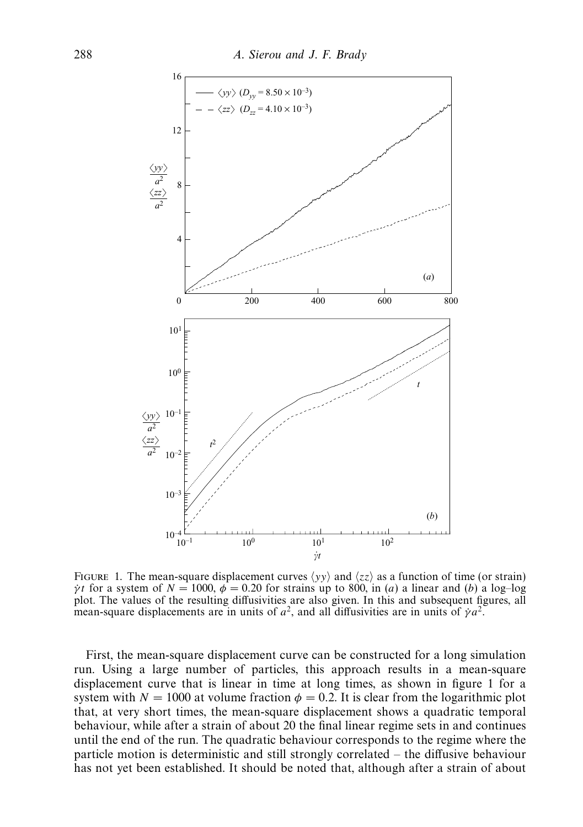

FIGURE 1. The mean-square displacement curves  $\langle yy \rangle$  and  $\langle zz \rangle$  as a function of time (or strain) *γt* for a system of  $N = 1000$ ,  $\phi = 0.20$  for strains up to 800, in (*a*) a linear and (*b*) a log–log plot. The values of the resulting diffusivities are also given. In this and subsequent figures, all mean-square displacements are in units of  $a^2$ , and all diffusivities are in units of  $\gamma a^2$ .

First, the mean-square displacement curve can be constructed for a long simulation run. Using a large number of particles, this approach results in a mean-square displacement curve that is linear in time at long times, as shown in figure 1 for a system with  $N = 1000$  at volume fraction  $\phi = 0.2$ . It is clear from the logarithmic plot that, at very short times, the mean-square displacement shows a quadratic temporal behaviour, while after a strain of about 20 the final linear regime sets in and continues until the end of the run. The quadratic behaviour corresponds to the regime where the particle motion is deterministic and still strongly correlated – the diffusive behaviour has not yet been established. It should be noted that, although after a strain of about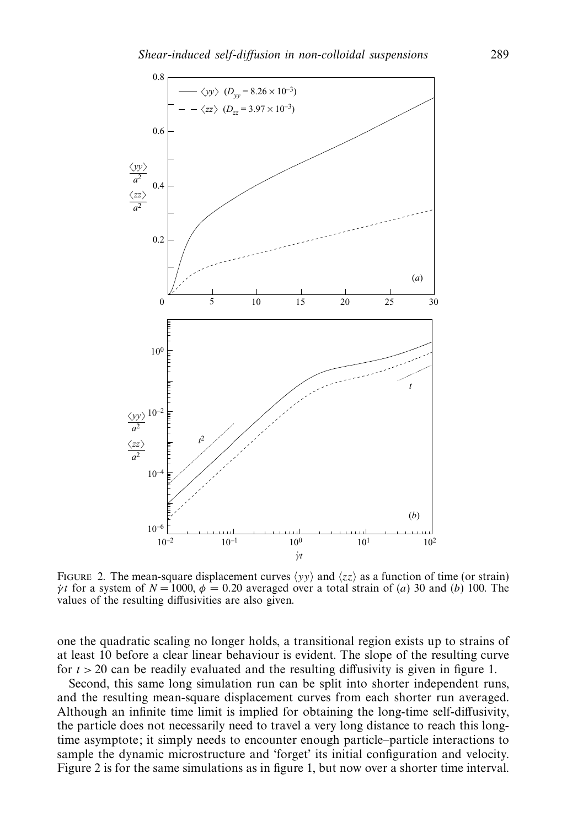

FIGURE 2. The mean-square displacement curves  $\langle yy \rangle$  and  $\langle zz \rangle$  as a function of time (or strain) *γt* for a system of  $N = 1000$ ,  $\phi = 0.20$  averaged over a total strain of (*a*) 30 and (*b*) 100. The values of the resulting diffusivities are also given.

one the quadratic scaling no longer holds, a transitional region exists up to strains of at least 10 before a clear linear behaviour is evident. The slope of the resulting curve for  $t > 20$  can be readily evaluated and the resulting diffusivity is given in figure 1.

Second, this same long simulation run can be split into shorter independent runs, and the resulting mean-square displacement curves from each shorter run averaged. Although an infinite time limit is implied for obtaining the long-time self-diffusivity, the particle does not necessarily need to travel a very long distance to reach this longtime asymptote; it simply needs to encounter enough particle–particle interactions to sample the dynamic microstructure and 'forget' its initial configuration and velocity. Figure 2 is for the same simulations as in figure 1, but now over a shorter time interval.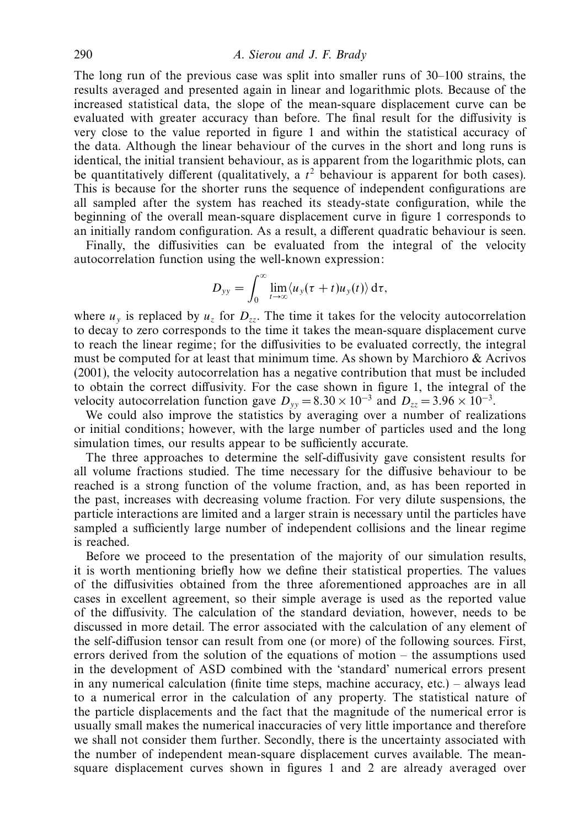The long run of the previous case was split into smaller runs of 30–100 strains, the results averaged and presented again in linear and logarithmic plots. Because of the increased statistical data, the slope of the mean-square displacement curve can be evaluated with greater accuracy than before. The final result for the diffusivity is very close to the value reported in figure 1 and within the statistical accuracy of the data. Although the linear behaviour of the curves in the short and long runs is identical, the initial transient behaviour, as is apparent from the logarithmic plots, can be quantitatively different (qualitatively, a  $t^2$  behaviour is apparent for both cases). This is because for the shorter runs the sequence of independent configurations are all sampled after the system has reached its steady-state configuration, while the beginning of the overall mean-square displacement curve in figure 1 corresponds to an initially random configuration. As a result, a different quadratic behaviour is seen.

Finally, the diffusivities can be evaluated from the integral of the velocity autocorrelation function using the well-known expression:

$$
D_{yy} = \int_0^\infty \lim_{t\to\infty} \langle u_y(\tau+t)u_y(t) \rangle \, \mathrm{d}\tau,
$$

where  $u_y$  is replaced by  $u_z$  for  $D_{zz}$ . The time it takes for the velocity autocorrelation to decay to zero corresponds to the time it takes the mean-square displacement curve to reach the linear regime; for the diffusivities to be evaluated correctly, the integral must be computed for at least that minimum time. As shown by Marchioro  $\&$  Acrivos (2001), the velocity autocorrelation has a negative contribution that must be included to obtain the correct diffusivity. For the case shown in figure 1, the integral of the velocity autocorrelation function gave  $D_{yy} = 8.30 \times 10^{-3}$  and  $D_{zz} = 3.96 \times 10^{-3}$ .

We could also improve the statistics by averaging over a number of realizations or initial conditions; however, with the large number of particles used and the long simulation times, our results appear to be sufficiently accurate.

The three approaches to determine the self-diffusivity gave consistent results for all volume fractions studied. The time necessary for the diffusive behaviour to be reached is a strong function of the volume fraction, and, as has been reported in the past, increases with decreasing volume fraction. For very dilute suspensions, the particle interactions are limited and a larger strain is necessary until the particles have sampled a sufficiently large number of independent collisions and the linear regime is reached.

Before we proceed to the presentation of the majority of our simulation results, it is worth mentioning briefly how we define their statistical properties. The values of the diffusivities obtained from the three aforementioned approaches are in all cases in excellent agreement, so their simple average is used as the reported value of the diffusivity. The calculation of the standard deviation, however, needs to be discussed in more detail. The error associated with the calculation of any element of the self-diffusion tensor can result from one (or more) of the following sources. First, errors derived from the solution of the equations of motion – the assumptions used in the development of ASD combined with the 'standard' numerical errors present in any numerical calculation (finite time steps, machine accuracy, etc.) – always lead to a numerical error in the calculation of any property. The statistical nature of the particle displacements and the fact that the magnitude of the numerical error is usually small makes the numerical inaccuracies of very little importance and therefore we shall not consider them further. Secondly, there is the uncertainty associated with the number of independent mean-square displacement curves available. The meansquare displacement curves shown in figures 1 and 2 are already averaged over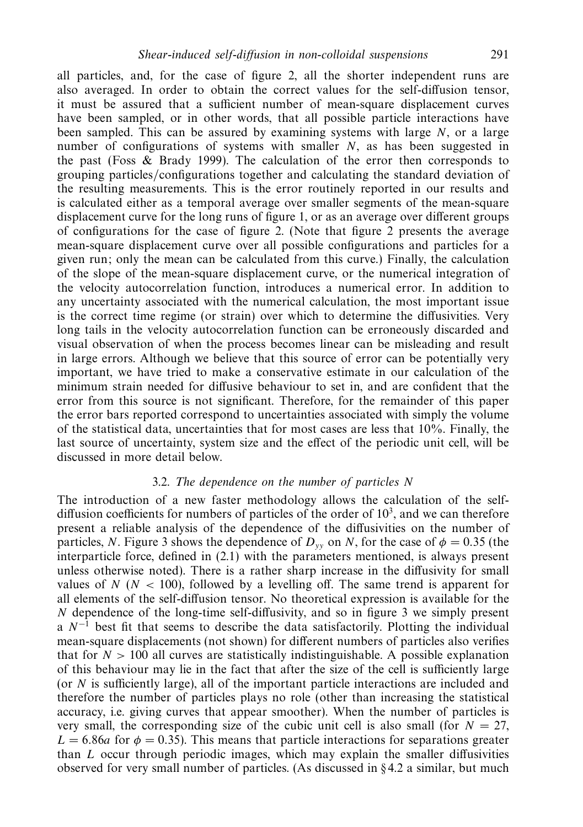all particles, and, for the case of figure 2, all the shorter independent runs are also averaged. In order to obtain the correct values for the self-diffusion tensor, it must be assured that a sufficient number of mean-square displacement curves have been sampled, or in other words, that all possible particle interactions have been sampled. This can be assured by examining systems with large *N*, or a large number of configurations of systems with smaller *N*, as has been suggested in the past (Foss & Brady 1999). The calculation of the error then corresponds to grouping particles/configurations together and calculating the standard deviation of the resulting measurements. This is the error routinely reported in our results and is calculated either as a temporal average over smaller segments of the mean-square displacement curve for the long runs of figure 1, or as an average over different groups of configurations for the case of figure 2. (Note that figure 2 presents the average mean-square displacement curve over all possible configurations and particles for a given run; only the mean can be calculated from this curve.) Finally, the calculation of the slope of the mean-square displacement curve, or the numerical integration of the velocity autocorrelation function, introduces a numerical error. In addition to any uncertainty associated with the numerical calculation, the most important issue is the correct time regime (or strain) over which to determine the diffusivities. Very long tails in the velocity autocorrelation function can be erroneously discarded and visual observation of when the process becomes linear can be misleading and result in large errors. Although we believe that this source of error can be potentially very important, we have tried to make a conservative estimate in our calculation of the minimum strain needed for diffusive behaviour to set in, and are confident that the error from this source is not significant. Therefore, for the remainder of this paper the error bars reported correspond to uncertainties associated with simply the volume of the statistical data, uncertainties that for most cases are less that 10%. Finally, the last source of uncertainty, system size and the effect of the periodic unit cell, will be discussed in more detail below.

#### 3.2. The dependence on the number of particles *N*

The introduction of a new faster methodology allows the calculation of the selfdiffusion coefficients for numbers of particles of the order of  $10<sup>3</sup>$ , and we can therefore present a reliable analysis of the dependence of the diffusivities on the number of particles, *N*. Figure 3 shows the dependence of  $D_{yy}$  on *N*, for the case of  $\phi = 0.35$  (the interparticle force, defined in (2.1) with the parameters mentioned, is always present unless otherwise noted). There is a rather sharp increase in the diffusivity for small values of  $N (N < 100)$ , followed by a levelling off. The same trend is apparent for all elements of the self-diffusion tensor. No theoretical expression is available for the *N* dependence of the long-time self-diffusivity, and so in figure 3 we simply present a  $N^{-1}$  best fit that seems to describe the data satisfactorily. Plotting the individual mean-square displacements (not shown) for different numbers of particles also verifies that for  $N > 100$  all curves are statistically indistinguishable. A possible explanation of this behaviour may lie in the fact that after the size of the cell is sufficiently large (or *N* is sufficiently large), all of the important particle interactions are included and therefore the number of particles plays no role (other than increasing the statistical accuracy, i.e. giving curves that appear smoother). When the number of particles is very small, the corresponding size of the cubic unit cell is also small (for  $N = 27$ ,  $L = 6.86a$  for  $\phi = 0.35$ ). This means that particle interactions for separations greater than *L* occur through periodic images, which may explain the smaller diffusivities observed for very small number of particles. (As discussed in § 4.2 a similar, but much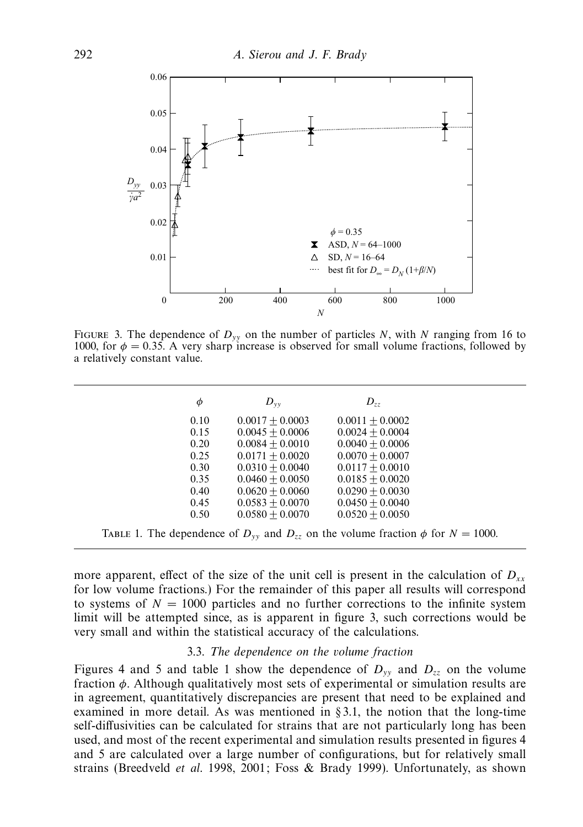

FIGURE 3. The dependence of  $D_{yy}$  on the number of particles *N*, with *N* ranging from 16 to 1000, for  $\phi = 0.35$ . A very sharp increase is observed for small volume fractions, followed by a relatively constant value.

| φ                         | $D_{yy}$                              | $D_{77}$                 |  |
|---------------------------|---------------------------------------|--------------------------|--|
| 0.10                      | $0.0017 + 0.0003$                     | $0.0011 + 0.0002$        |  |
| 0.15                      | $0.0045 + 0.0006$                     | $0.0024 + 0.0004$        |  |
| 0.20                      | $0.0084 + 0.0010$                     | $0.0040 + 0.0006$        |  |
| 0.25                      | $0.0171 + 0.0020$                     | $0.0070 + 0.0007$        |  |
| 0.30                      | $0.0310 + 0.0040$                     | $0.0117 + 0.0010$        |  |
| 0.35                      | $0.0460 + 0.0050$                     | $0.0185 + 0.0020$        |  |
| 0.40                      | $0.0620 + 0.0060$                     | $0.0290 + 0.0030$        |  |
| 0.45                      | $0.0583 + 0.0070$                     | $0.0450 + 0.0040$        |  |
| 0.50                      | $0.0580 + 0.0070$                     | $0.0520 + 0.0050$        |  |
| $\mathbf{1}$ $\mathbf{1}$ | $\sim$ $\sim$<br>$\sim$ $\sim$ $\sim$ | $\sim$ 1 $\sim$ 0 $\sim$ |  |

TABLE 1. The dependence of  $D_{yy}$  and  $D_{zz}$  on the volume fraction  $\phi$  for  $N = 1000$ .

more apparent, effect of the size of the unit cell is present in the calculation of  $D_{xx}$ for low volume fractions.) For the remainder of this paper all results will correspond to systems of  $N = 1000$  particles and no further corrections to the infinite system limit will be attempted since, as is apparent in figure 3, such corrections would be very small and within the statistical accuracy of the calculations.

## 3.3. The dependence on the volume fraction

Figures 4 and 5 and table 1 show the dependence of  $D_{yy}$  and  $D_{zz}$  on the volume fraction *φ*. Although qualitatively most sets of experimental or simulation results are in agreement, quantitatively discrepancies are present that need to be explained and examined in more detail. As was mentioned in § 3.1, the notion that the long-time self-diffusivities can be calculated for strains that are not particularly long has been used, and most of the recent experimental and simulation results presented in figures 4 and 5 are calculated over a large number of configurations, but for relatively small strains (Breedveld et al. 1998, 2001; Foss & Brady 1999). Unfortunately, as shown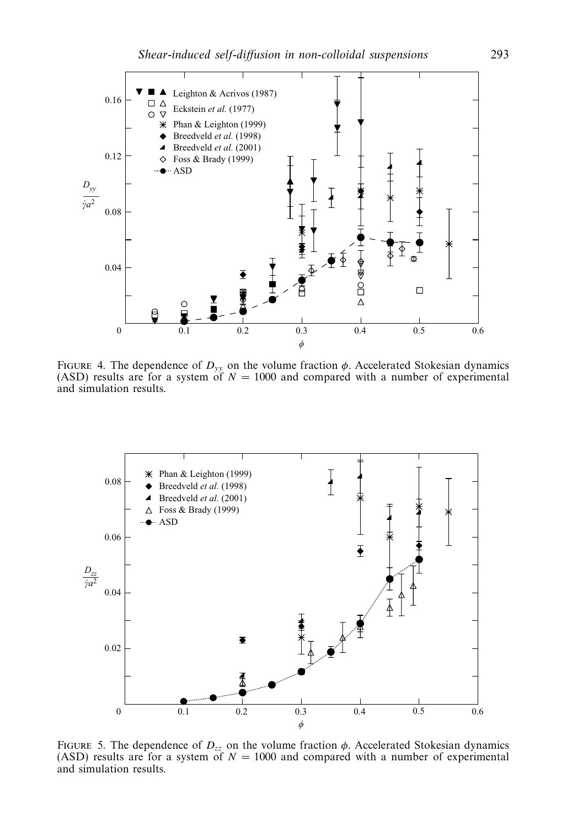

FIGURE 4. The dependence of  $D_{yy}$  on the volume fraction  $\phi$ . Accelerated Stokesian dynamics (ASD) results are for a system of  $N = 1000$  and compared with a number of experimental and simulation results.



FIGURE 5. The dependence of  $D_{zz}$  on the volume fraction  $\phi$ . Accelerated Stokesian dynamics (ASD) results are for a system of  $N = 1000$  and compared with a number of experimental and simulation results.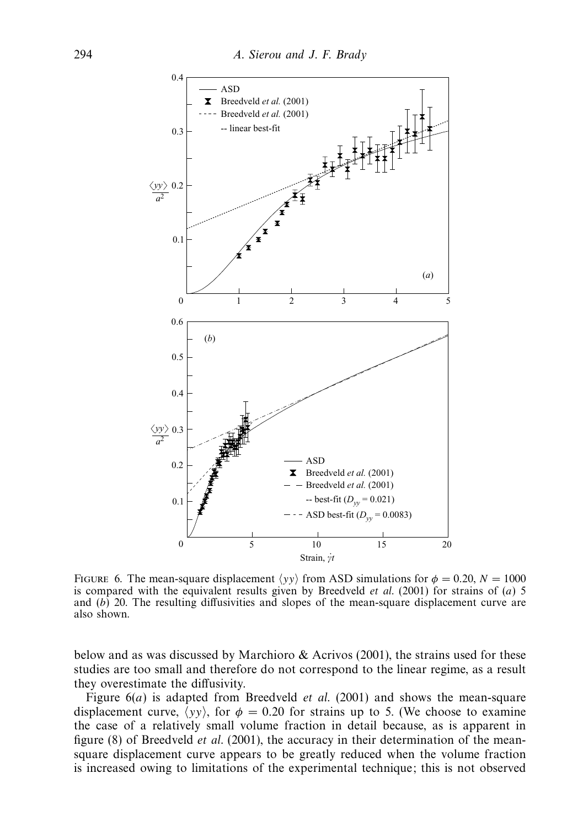

FIGURE 6. The mean-square displacement  $\langle yy \rangle$  from ASD simulations for  $\phi = 0.20$ ,  $N = 1000$ is compared with the equivalent results given by Breedveld et al. (2001) for strains of (*a*) 5 and (*b*) 20. The resulting diffusivities and slopes of the mean-square displacement curve are also shown.

below and as was discussed by Marchioro & Acrivos (2001), the strains used for these studies are too small and therefore do not correspond to the linear regime, as a result they overestimate the diffusivity.

Figure  $6(a)$  is adapted from Breedveld *et al.* (2001) and shows the mean-square displacement curve,  $\langle yy \rangle$ , for  $\phi = 0.20$  for strains up to 5. (We choose to examine the case of a relatively small volume fraction in detail because, as is apparent in figure  $(8)$  of Breedveld *et al.* (2001), the accuracy in their determination of the meansquare displacement curve appears to be greatly reduced when the volume fraction is increased owing to limitations of the experimental technique; this is not observed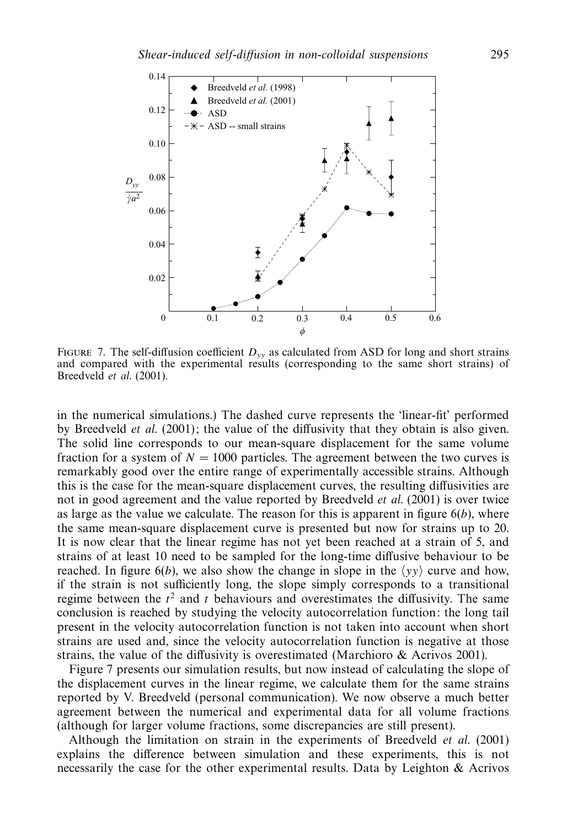

FIGURE 7. The self-diffusion coefficient  $D_{yy}$  as calculated from ASD for long and short strains and compared with the experimental results (corresponding to the same short strains) of Breedveld et al. (2001).

in the numerical simulations.) The dashed curve represents the 'linear-fit' performed by Breedveld et al. (2001); the value of the diffusivity that they obtain is also given. The solid line corresponds to our mean-square displacement for the same volume fraction for a system of  $N = 1000$  particles. The agreement between the two curves is remarkably good over the entire range of experimentally accessible strains. Although this is the case for the mean-square displacement curves, the resulting diffusivities are not in good agreement and the value reported by Breedveld et al. (2001) is over twice as large as the value we calculate. The reason for this is apparent in figure  $6(b)$ , where the same mean-square displacement curve is presented but now for strains up to 20. It is now clear that the linear regime has not yet been reached at a strain of 5, and strains of at least 10 need to be sampled for the long-time diffusive behaviour to be reached. In figure  $6(b)$ , we also show the change in slope in the  $\langle yy \rangle$  curve and how, if the strain is not sufficiently long, the slope simply corresponds to a transitional regime between the  $t^2$  and  $t$  behaviours and overestimates the diffusivity. The same conclusion is reached by studying the velocity autocorrelation function: the long tail present in the velocity autocorrelation function is not taken into account when short strains are used and, since the velocity autocorrelation function is negative at those strains, the value of the diffusivity is overestimated (Marchioro & Acrivos 2001).

Figure 7 presents our simulation results, but now instead of calculating the slope of the displacement curves in the linear regime, we calculate them for the same strains reported by V. Breedveld (personal communication). We now observe a much better agreement between the numerical and experimental data for all volume fractions (although for larger volume fractions, some discrepancies are still present).

Although the limitation on strain in the experiments of Breedveld et al. (2001) explains the difference between simulation and these experiments, this is not necessarily the case for the other experimental results. Data by Leighton  $\&$  Acrivos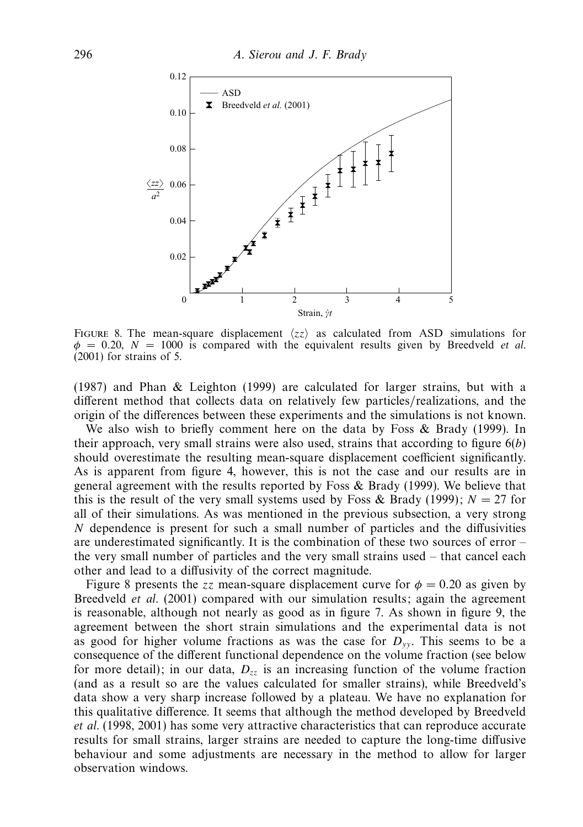

FIGURE 8. The mean-square displacement  $\langle zz \rangle$  as calculated from ASD simulations for  $\phi = 0.20$ ,  $N = 1000$  is compared with the equivalent results given by Breedveld *et al.* (2001) for strains of 5.

(1987) and Phan & Leighton (1999) are calculated for larger strains, but with a different method that collects data on relatively few particles/realizations, and the origin of the differences between these experiments and the simulations is not known.

We also wish to briefly comment here on the data by Foss & Brady (1999). In their approach, very small strains were also used, strains that according to figure 6(*b*) should overestimate the resulting mean-square displacement coefficient significantly. As is apparent from figure 4, however, this is not the case and our results are in general agreement with the results reported by Foss & Brady (1999). We believe that this is the result of the very small systems used by Foss & Brady (1999);  $N = 27$  for all of their simulations. As was mentioned in the previous subsection, a very strong *N* dependence is present for such a small number of particles and the diffusivities are underestimated significantly. It is the combination of these two sources of error – the very small number of particles and the very small strains used – that cancel each other and lead to a diffusivity of the correct magnitude.

Figure 8 presents the *zz* mean-square displacement curve for  $\phi = 0.20$  as given by Breedveld et al. (2001) compared with our simulation results; again the agreement is reasonable, although not nearly as good as in figure 7. As shown in figure 9, the agreement between the short strain simulations and the experimental data is not as good for higher volume fractions as was the case for  $D_{yy}$ . This seems to be a consequence of the different functional dependence on the volume fraction (see below for more detail); in our data,  $D_{zz}$  is an increasing function of the volume fraction (and as a result so are the values calculated for smaller strains), while Breedveld's data show a very sharp increase followed by a plateau. We have no explanation for this qualitative difference. It seems that although the method developed by Breedveld et al. (1998, 2001) has some very attractive characteristics that can reproduce accurate results for small strains, larger strains are needed to capture the long-time diffusive behaviour and some adjustments are necessary in the method to allow for larger observation windows.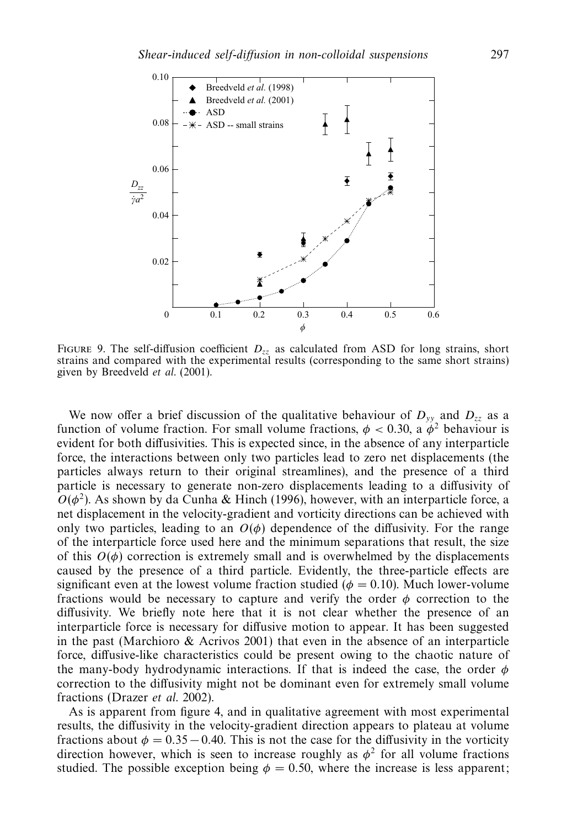

FIGURE 9. The self-diffusion coefficient  $D_{zz}$  as calculated from ASD for long strains, short strains and compared with the experimental results (corresponding to the same short strains) given by Breedveld et al. (2001).

We now offer a brief discussion of the qualitative behaviour of  $D_{yy}$  and  $D_{zz}$  as a function of volume fraction. For small volume fractions,  $\phi < 0.30$ , a  $\phi^2$  behaviour is evident for both diffusivities. This is expected since, in the absence of any interparticle force, the interactions between only two particles lead to zero net displacements (the particles always return to their original streamlines), and the presence of a third particle is necessary to generate non-zero displacements leading to a diffusivity of  $O(\phi^2)$ . As shown by da Cunha & Hinch (1996), however, with an interparticle force, a net displacement in the velocity-gradient and vorticity directions can be achieved with only two particles, leading to an  $O(\phi)$  dependence of the diffusivity. For the range of the interparticle force used here and the minimum separations that result, the size of this  $O(\phi)$  correction is extremely small and is overwhelmed by the displacements caused by the presence of a third particle. Evidently, the three-particle effects are significant even at the lowest volume fraction studied ( $\phi = 0.10$ ). Much lower-volume fractions would be necessary to capture and verify the order  $\phi$  correction to the diffusivity. We briefly note here that it is not clear whether the presence of an interparticle force is necessary for diffusive motion to appear. It has been suggested in the past (Marchioro  $\&$  Acrivos 2001) that even in the absence of an interparticle force, diffusive-like characteristics could be present owing to the chaotic nature of the many-body hydrodynamic interactions. If that is indeed the case, the order *φ* correction to the diffusivity might not be dominant even for extremely small volume fractions (Drazer et al. 2002).

As is apparent from figure 4, and in qualitative agreement with most experimental results, the diffusivity in the velocity-gradient direction appears to plateau at volume fractions about  $\phi = 0.35 - 0.40$ . This is not the case for the diffusivity in the vorticity direction however, which is seen to increase roughly as  $\phi^2$  for all volume fractions studied. The possible exception being  $\phi = 0.50$ , where the increase is less apparent;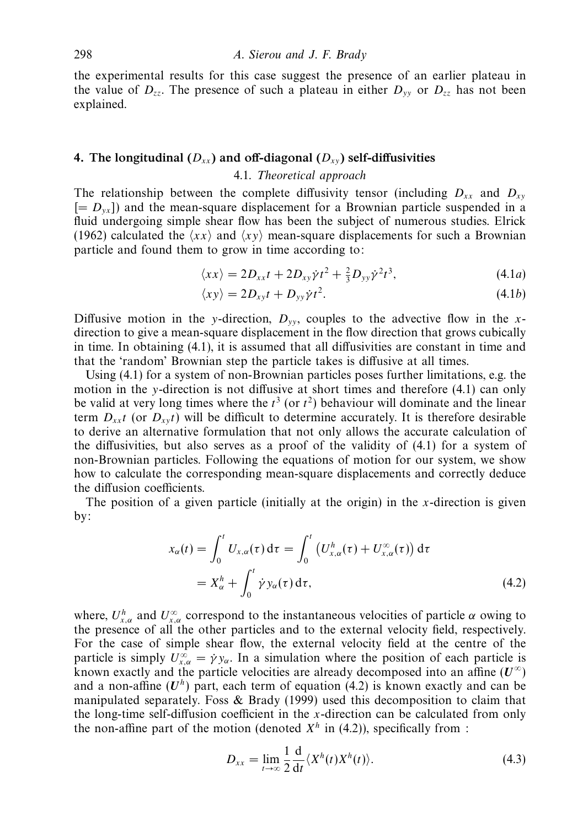the experimental results for this case suggest the presence of an earlier plateau in the value of  $D_{zz}$ . The presence of such a plateau in either  $D_{yy}$  or  $D_{zz}$  has not been explained.

## 4. The longitudinal  $(D_{xx})$  and off-diagonal  $(D_{xy})$  self-diffusivities

#### 4.1. Theoretical approach

The relationship between the complete diffusivity tensor (including  $D_{xx}$  and  $D_{xy}$ )  $[= D_{vx}]$  and the mean-square displacement for a Brownian particle suspended in a fluid undergoing simple shear flow has been the subject of numerous studies. Elrick (1962) calculated the  $\langle xx \rangle$  and  $\langle xy \rangle$  mean-square displacements for such a Brownian particle and found them to grow in time according to:

$$
\langle xx \rangle = 2D_{xx}t + 2D_{xy}\dot{\gamma}t^2 + \frac{2}{3}D_{yy}\dot{\gamma}^2t^3, \qquad (4.1a)
$$

$$
\langle xy \rangle = 2D_{xy}t + D_{yy}\dot{\gamma}t^2. \tag{4.1b}
$$

Diffusive motion in the *y*-direction,  $D_{yy}$ , couples to the advective flow in the *x*direction to give a mean-square displacement in the flow direction that grows cubically in time. In obtaining (4.1), it is assumed that all diffusivities are constant in time and that the 'random' Brownian step the particle takes is diffusive at all times.

Using (4.1) for a system of non-Brownian particles poses further limitations, e.g. the motion in the *y*-direction is not diffusive at short times and therefore (4.1) can only be valid at very long times where the  $t^3$  (or  $t^2$ ) behaviour will dominate and the linear term  $D_{xx}t$  (or  $D_{xy}t$ ) will be difficult to determine accurately. It is therefore desirable to derive an alternative formulation that not only allows the accurate calculation of the diffusivities, but also serves as a proof of the validity of (4.1) for a system of non-Brownian particles. Following the equations of motion for our system, we show how to calculate the corresponding mean-square displacements and correctly deduce the diffusion coefficients.

The position of a given particle (initially at the origin) in the *x*-direction is given by:

$$
x_{\alpha}(t) = \int_0^t U_{x,\alpha}(\tau) d\tau = \int_0^t \left( U_{x,\alpha}^h(\tau) + U_{x,\alpha}^{\infty}(\tau) \right) d\tau
$$
  
=  $X_{\alpha}^h + \int_0^t \dot{\gamma} y_{\alpha}(\tau) d\tau,$  (4.2)

where,  $U_{x,\alpha}^h$  and  $U_{x,\alpha}^{\infty}$  correspond to the instantaneous velocities of particle  $\alpha$  owing to the presence of all the other particles and to the external velocity field, respectively. For the case of simple shear flow, the external velocity field at the centre of the particle is simply  $U_{x,\alpha}^{\infty} = \dot{\gamma} y_{\alpha}$ . In a simulation where the position of each particle is known exactly and the particle velocities are already decomposed into an affine  $(U^{\infty})$ and a non-affine  $(U^h)$  part, each term of equation (4.2) is known exactly and can be manipulated separately. Foss & Brady (1999) used this decomposition to claim that the long-time self-diffusion coefficient in the *x*-direction can be calculated from only the non-affine part of the motion (denoted  $X^h$  in (4.2)), specifically from :

$$
D_{xx} = \lim_{t \to \infty} \frac{1}{2} \frac{d}{dt} \langle X^h(t) X^h(t) \rangle.
$$
 (4.3)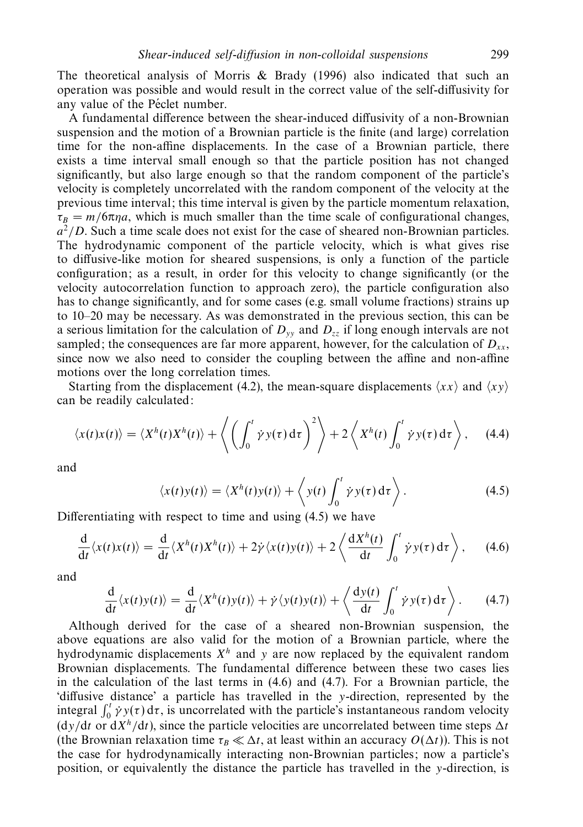The theoretical analysis of Morris & Brady (1996) also indicated that such an operation was possible and would result in the correct value of the self-diffusivity for any value of the Péclet number.

A fundamental difference between the shear-induced diffusivity of a non-Brownian suspension and the motion of a Brownian particle is the finite (and large) correlation time for the non-affine displacements. In the case of a Brownian particle, there exists a time interval small enough so that the particle position has not changed significantly, but also large enough so that the random component of the particle's velocity is completely uncorrelated with the random component of the velocity at the previous time interval; this time interval is given by the particle momentum relaxation,  $\tau_B = m/6\pi\eta a$ , which is much smaller than the time scale of configurational changes,  $a^2/D$ . Such a time scale does not exist for the case of sheared non-Brownian particles. The hydrodynamic component of the particle velocity, which is what gives rise to diffusive-like motion for sheared suspensions, is only a function of the particle configuration; as a result, in order for this velocity to change significantly (or the velocity autocorrelation function to approach zero), the particle configuration also has to change significantly, and for some cases (e.g. small volume fractions) strains up to 10–20 may be necessary. As was demonstrated in the previous section, this can be a serious limitation for the calculation of  $D_{yy}$  and  $D_{zz}$  if long enough intervals are not sampled; the consequences are far more apparent, however, for the calculation of  $D_{xx}$ , since now we also need to consider the coupling between the affine and non-affine motions over the long correlation times.

Starting from the displacement (4.2), the mean-square displacements  $\langle xx \rangle$  and  $\langle xy \rangle$ can be readily calculated:

$$
\langle x(t)x(t)\rangle = \langle X^h(t)X^h(t)\rangle + \left\langle \left(\int_0^t \dot{\gamma}y(\tau) d\tau\right)^2 \right\rangle + 2\left\langle X^h(t)\int_0^t \dot{\gamma}y(\tau) d\tau\right\rangle, \quad (4.4)
$$

and

$$
\langle x(t)y(t)\rangle = \langle X^{h}(t)y(t)\rangle + \langle y(t)\int_{0}^{t} \dot{\gamma}y(\tau) d\tau \rangle.
$$
 (4.5)

Differentiating with respect to time and using (4.5) we have

$$
\frac{\mathrm{d}}{\mathrm{d}t}\langle x(t)x(t)\rangle = \frac{\mathrm{d}}{\mathrm{d}t}\langle X^h(t)X^h(t)\rangle + 2\dot{\gamma}\langle x(t)y(t)\rangle + 2\left\langle \frac{\mathrm{d}X^h(t)}{\mathrm{d}t}\int_0^t \dot{\gamma}y(\tau)\,\mathrm{d}\tau \right\rangle, \tag{4.6}
$$

and

$$
\frac{\mathrm{d}}{\mathrm{d}t}\langle x(t)y(t)\rangle = \frac{\mathrm{d}}{\mathrm{d}t}\langle X^h(t)y(t)\rangle + \dot{\gamma}\langle y(t)y(t)\rangle + \left\langle \frac{\mathrm{d}y(t)}{\mathrm{d}t} \int_0^t \dot{\gamma}y(\tau) \,\mathrm{d}\tau \right\rangle. \tag{4.7}
$$

Although derived for the case of a sheared non-Brownian suspension, the above equations are also valid for the motion of a Brownian particle, where the hydrodynamic displacements *X<sup>h</sup>* and *y* are now replaced by the equivalent random Brownian displacements. The fundamental difference between these two cases lies in the calculation of the last terms in  $(4.6)$  and  $(4.7)$ . For a Brownian particle, the 'diffusive distance' a particle has travelled in the *y*-direction, represented by the integral  $\int_0^t \dot{\gamma} y(\tau) d\tau$ , is uncorrelated with the particle's instantaneous random velocity  $(dy/dt)$  or  $dX^h/dt$ , since the particle velocities are uncorrelated between time steps  $\Delta t$ (the Brownian relaxation time  $\tau_B \ll \Delta t$ , at least within an accuracy  $O(\Delta t)$ ). This is not the case for hydrodynamically interacting non-Brownian particles; now a particle's position, or equivalently the distance the particle has travelled in the *y*-direction, is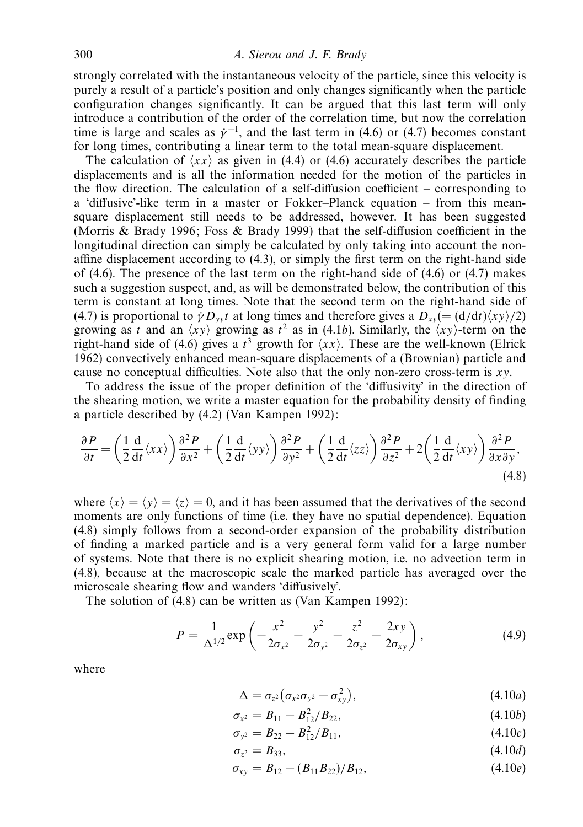strongly correlated with the instantaneous velocity of the particle, since this velocity is purely a result of a particle's position and only changes significantly when the particle configuration changes significantly. It can be argued that this last term will only introduce a contribution of the order of the correlation time, but now the correlation time is large and scales as  $\dot{\gamma}^{-1}$ , and the last term in (4.6) or (4.7) becomes constant for long times, contributing a linear term to the total mean-square displacement.

The calculation of  $\langle xx \rangle$  as given in (4.4) or (4.6) accurately describes the particle displacements and is all the information needed for the motion of the particles in the flow direction. The calculation of a self-diffusion coefficient – corresponding to a 'diffusive'-like term in a master or Fokker–Planck equation – from this meansquare displacement still needs to be addressed, however. It has been suggested (Morris & Brady 1996; Foss & Brady 1999) that the self-diffusion coefficient in the longitudinal direction can simply be calculated by only taking into account the nonaffine displacement according to (4.3), or simply the first term on the right-hand side of (4.6). The presence of the last term on the right-hand side of (4.6) or (4.7) makes such a suggestion suspect, and, as will be demonstrated below, the contribution of this term is constant at long times. Note that the second term on the right-hand side of (4.7) is proportional to  $\gamma D_{yy}t$  at long times and therefore gives a  $D_{xy} = (d/dt)\langle xy \rangle/2$ growing as *t* and an  $\langle xy \rangle$  growing as  $t^2$  as in (4.1*b*). Similarly, the  $\langle xy \rangle$ -term on the right-hand side of (4.6) gives a  $t^3$  growth for  $\langle xx \rangle$ . These are the well-known (Elrick 1962) convectively enhanced mean-square displacements of a (Brownian) particle and cause no conceptual difficulties. Note also that the only non-zero cross-term is *xy*.

To address the issue of the proper definition of the 'diffusivity' in the direction of the shearing motion, we write a master equation for the probability density of finding a particle described by (4.2) (Van Kampen 1992):

$$
\frac{\partial P}{\partial t} = \left(\frac{1}{2}\frac{d}{dt}\langle xx\rangle\right)\frac{\partial^2 P}{\partial x^2} + \left(\frac{1}{2}\frac{d}{dt}\langle yy\rangle\right)\frac{\partial^2 P}{\partial y^2} + \left(\frac{1}{2}\frac{d}{dt}\langle zz\rangle\right)\frac{\partial^2 P}{\partial z^2} + 2\left(\frac{1}{2}\frac{d}{dt}\langle xy\rangle\right)\frac{\partial^2 P}{\partial x\partial y},\tag{4.8}
$$

where  $\langle x \rangle = \langle y \rangle = \langle z \rangle = 0$ , and it has been assumed that the derivatives of the second moments are only functions of time (i.e. they have no spatial dependence). Equation (4.8) simply follows from a second-order expansion of the probability distribution of finding a marked particle and is a very general form valid for a large number of systems. Note that there is no explicit shearing motion, i.e. no advection term in (4.8), because at the macroscopic scale the marked particle has averaged over the microscale shearing flow and wanders 'diffusively'.

The solution of (4.8) can be written as (Van Kampen 1992):

$$
P = \frac{1}{\Delta^{1/2}} \exp\left(-\frac{x^2}{2\sigma_{x^2}} - \frac{y^2}{2\sigma_{y^2}} - \frac{z^2}{2\sigma_{z^2}} - \frac{2xy}{2\sigma_{xy}}\right),
$$
(4.9)

where

$$
\Delta = \sigma_{z^2} \big( \sigma_{x^2} \sigma_{y^2} - \sigma_{xy}^2 \big), \tag{4.10a}
$$

$$
\sigma_{x^2} = B_{11} - B_{12}^2 / B_{22}, \tag{4.10b}
$$

$$
\sigma_{y^2} = B_{22} - B_{12}^2 / B_{11}, \tag{4.10c}
$$

$$
\sigma_{z^2} = B_{33},\tag{4.10d}
$$

$$
\sigma_{xy} = B_{12} - (B_{11}B_{22})/B_{12},\tag{4.10e}
$$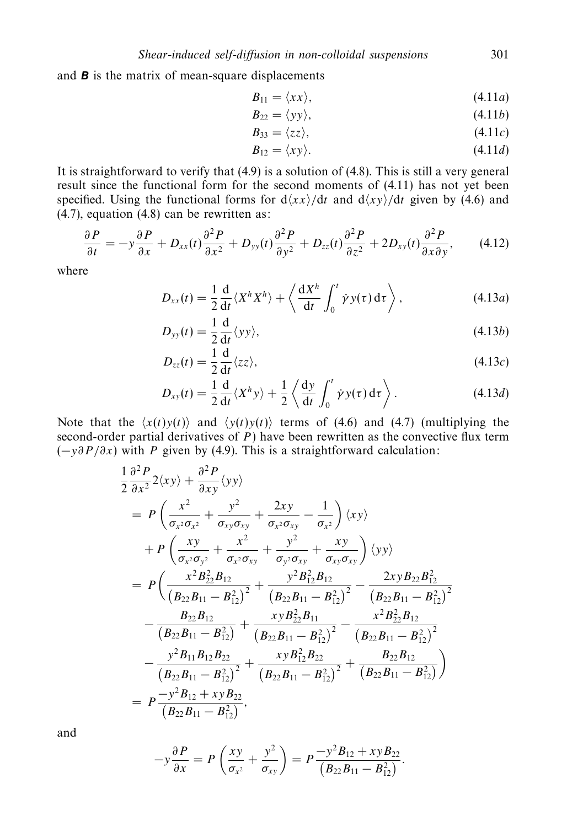and *B* is the matrix of mean-square displacements

$$
B_{11} = \langle xx \rangle, \tag{4.11a}
$$

$$
B_{22} = \langle yy \rangle, \tag{4.11b}
$$

$$
B_{33} = \langle zz \rangle, \tag{4.11c}
$$

$$
B_{12} = \langle xy \rangle. \tag{4.11d}
$$

It is straightforward to verify that (4.9) is a solution of (4.8). This is still a very general result since the functional form for the second moments of (4.11) has not yet been specified. Using the functional forms for  $d\langle xx \rangle/dt$  and  $d\langle xy \rangle/dt$  given by (4.6) and (4.7), equation (4.8) can be rewritten as:

$$
\frac{\partial P}{\partial t} = -y\frac{\partial P}{\partial x} + D_{xx}(t)\frac{\partial^2 P}{\partial x^2} + D_{yy}(t)\frac{\partial^2 P}{\partial y^2} + D_{zz}(t)\frac{\partial^2 P}{\partial z^2} + 2D_{xy}(t)\frac{\partial^2 P}{\partial x \partial y},\qquad(4.12)
$$

where

$$
D_{xx}(t) = \frac{1}{2} \frac{d}{dt} \langle X^h X^h \rangle + \left\langle \frac{dX^h}{dt} \int_0^t \dot{\gamma} y(\tau) d\tau \right\rangle, \qquad (4.13a)
$$

$$
D_{yy}(t) = \frac{1}{2} \frac{d}{dt} \langle yy \rangle, \tag{4.13b}
$$

$$
D_{zz}(t) = \frac{1}{2} \frac{d}{dt} \langle zz \rangle, \tag{4.13c}
$$

$$
D_{xy}(t) = \frac{1}{2} \frac{d}{dt} \langle X^h y \rangle + \frac{1}{2} \left\langle \frac{dy}{dt} \int_0^t \dot{\gamma} y(\tau) d\tau \right\rangle.
$$
 (4.13*d*)

Note that the  $\langle x(t)y(t) \rangle$  and  $\langle y(t)y(t) \rangle$  terms of (4.6) and (4.7) (multiplying the second-order partial derivatives of *P*) have been rewritten as the convective flux term (−*y∂P /∂x*) with *P* given by (4.9). This is a straightforward calculation:

$$
\frac{1}{2} \frac{\partial^2 P}{\partial x^2} 2 \langle xy \rangle + \frac{\partial^2 P}{\partial xy} \langle yy \rangle \n= P \left( \frac{x^2}{\sigma_{x^2} \sigma_{x^2}} + \frac{y^2}{\sigma_{xy} \sigma_{xy}} + \frac{2xy}{\sigma_{x^2} \sigma_{xy}} - \frac{1}{\sigma_{x^2}} \right) \langle xy \rangle \n+ P \left( \frac{xy}{\sigma_{x^2} \sigma_{y^2}} + \frac{x^2}{\sigma_{x^2} \sigma_{xy}} + \frac{y^2}{\sigma_{y^2} \sigma_{xy}} + \frac{xy}{\sigma_{xy} \sigma_{xy}} \right) \langle yy \rangle \n= P \left( \frac{x^2 B_{22}^2 B_{12}}{(B_{22} B_{11} - B_{12}^2)^2} + \frac{y^2 B_{12}^2 B_{12}}{(B_{22} B_{11} - B_{12}^2)^2} - \frac{2xy B_{22} B_{12}^2}{(B_{22} B_{11} - B_{12}^2)^2} \right) \n- \frac{B_{22} B_{12}}{(B_{22} B_{11} - B_{12}^2)} + \frac{xy B_{22}^2 B_{11}}{(B_{22} B_{11} - B_{12}^2)^2} - \frac{x^2 B_{22}^2 B_{12}}{(B_{22} B_{11} - B_{12}^2)^2} \n- \frac{y^2 B_{11} B_{12} B_{22}}{(B_{22} B_{11} - B_{12}^2)^2} + \frac{xy B_{12}^2 B_{22}}{(B_{22} B_{11} - B_{12}^2)^2} + \frac{B_{22} B_{12}}{(B_{22} B_{11} - B_{12}^2)} \right) \n= P \frac{-y^2 B_{12} + xy B_{22}}{(B_{22} B_{11} - B_{12}^2)},
$$

and

$$
-y\frac{\partial P}{\partial x} = P\left(\frac{xy}{\sigma_{x^2}} + \frac{y^2}{\sigma_{xy}}\right) = P\frac{-y^2B_{12} + xyB_{22}}{(B_{22}B_{11} - B_{12}^2)}.
$$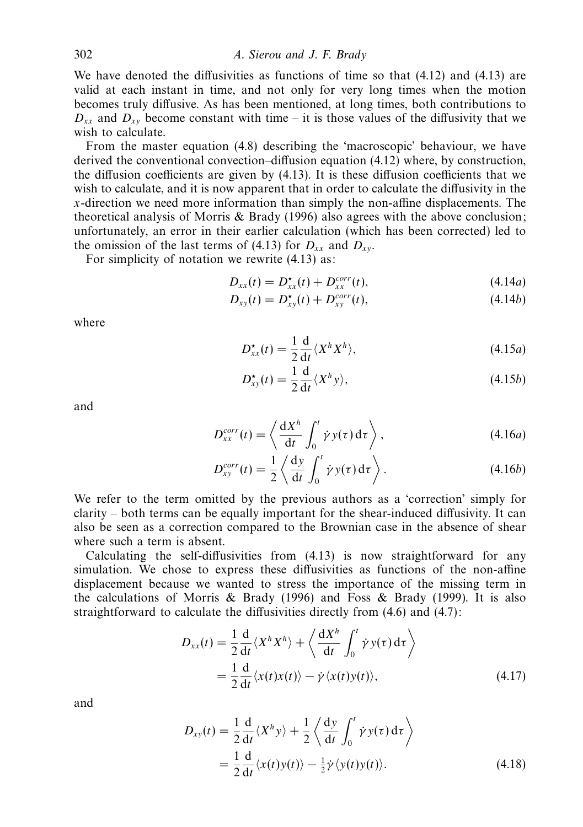We have denoted the diffusivities as functions of time so that (4.12) and (4.13) are valid at each instant in time, and not only for very long times when the motion becomes truly diffusive. As has been mentioned, at long times, both contributions to  $D_{xx}$  and  $D_{xy}$  become constant with time – it is those values of the diffusivity that we wish to calculate.

From the master equation (4.8) describing the 'macroscopic' behaviour, we have derived the conventional convection–diffusion equation (4.12) where, by construction, the diffusion coefficients are given by (4.13). It is these diffusion coefficients that we wish to calculate, and it is now apparent that in order to calculate the diffusivity in the *x*-direction we need more information than simply the non-affine displacements. The theoretical analysis of Morris & Brady (1996) also agrees with the above conclusion; unfortunately, an error in their earlier calculation (which has been corrected) led to the omission of the last terms of (4.13) for  $D_{xx}$  and  $D_{xy}$ .

For simplicity of notation we rewrite (4.13) as:

$$
D_{xx}(t) = D_{xx}^{\star}(t) + D_{xx}^{corr}(t), \qquad (4.14a)
$$

$$
D_{xy}(t) = D_{xy}^{\star}(t) + D_{xy}^{corr}(t),
$$
\n(4.14b)

where

$$
D_{xx}^{\star}(t) = \frac{1}{2} \frac{d}{dt} \langle X^h X^h \rangle, \qquad (4.15a)
$$

$$
D_{xy}^{\star}(t) = \frac{1}{2} \frac{\mathrm{d}}{\mathrm{d}t} \langle X^h y \rangle, \tag{4.15b}
$$

and

$$
D_{xx}^{corr}(t) = \left\langle \frac{dX^h}{dt} \int_0^t \dot{\gamma} y(\tau) d\tau \right\rangle, \qquad (4.16a)
$$

$$
D_{xy}^{corr}(t) = \frac{1}{2} \left\langle \frac{dy}{dt} \int_0^t \dot{\gamma} y(\tau) d\tau \right\rangle.
$$
 (4.16b)

We refer to the term omitted by the previous authors as a 'correction' simply for clarity – both terms can be equally important for the shear-induced diffusivity. It can also be seen as a correction compared to the Brownian case in the absence of shear where such a term is absent.

Calculating the self-diffusivities from (4.13) is now straightforward for any simulation. We chose to express these diffusivities as functions of the non-affine displacement because we wanted to stress the importance of the missing term in the calculations of Morris & Brady (1996) and Foss & Brady (1999). It is also straightforward to calculate the diffusivities directly from (4.6) and (4.7):

$$
D_{xx}(t) = \frac{1}{2} \frac{d}{dt} \langle X^h X^h \rangle + \left\langle \frac{dX^h}{dt} \int_0^t \dot{\gamma} y(\tau) d\tau \right\rangle
$$
  
= 
$$
\frac{1}{2} \frac{d}{dt} \langle x(t)x(t) \rangle - \dot{\gamma} \langle x(t)y(t) \rangle,
$$
 (4.17)

and

$$
D_{xy}(t) = \frac{1}{2} \frac{d}{dt} \langle X^h y \rangle + \frac{1}{2} \langle \frac{dy}{dt} \int_0^t \dot{\gamma} y(\tau) d\tau \rangle
$$
  
= 
$$
\frac{1}{2} \frac{d}{dt} \langle x(t) y(t) \rangle - \frac{1}{2} \dot{\gamma} \langle y(t) y(t) \rangle.
$$
 (4.18)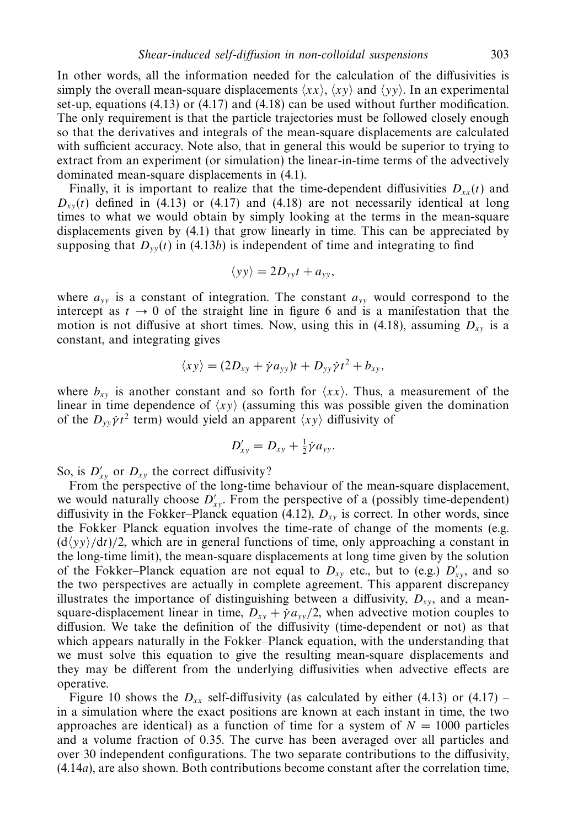In other words, all the information needed for the calculation of the diffusivities is simply the overall mean-square displacements  $\langle xx \rangle$ ,  $\langle xy \rangle$  and  $\langle yy \rangle$ . In an experimental set-up, equations (4.13) or (4.17) and (4.18) can be used without further modification. The only requirement is that the particle trajectories must be followed closely enough so that the derivatives and integrals of the mean-square displacements are calculated with sufficient accuracy. Note also, that in general this would be superior to trying to extract from an experiment (or simulation) the linear-in-time terms of the advectively dominated mean-square displacements in (4.1).

Finally, it is important to realize that the time-dependent diffusivities  $D_{xx}(t)$  and  $D_{xy}(t)$  defined in (4.13) or (4.17) and (4.18) are not necessarily identical at long times to what we would obtain by simply looking at the terms in the mean-square displacements given by (4.1) that grow linearly in time. This can be appreciated by supposing that  $D_{yy}(t)$  in (4.13b) is independent of time and integrating to find

$$
\langle yy \rangle = 2D_{yy}t + a_{yy},
$$

where  $a_{yy}$  is a constant of integration. The constant  $a_{yy}$  would correspond to the intercept as  $t \to 0$  of the straight line in figure 6 and is a manifestation that the motion is not diffusive at short times. Now, using this in  $(4.18)$ , assuming  $D_{xy}$  is a constant, and integrating gives

$$
\langle xy \rangle = (2D_{xy} + \dot{\gamma} a_{yy})t + D_{yy}\dot{\gamma}t^2 + b_{xy},
$$

where  $b_{xy}$  is another constant and so forth for  $\langle xx \rangle$ . Thus, a measurement of the linear in time dependence of  $\langle xy \rangle$  (assuming this was possible given the domination of the  $D_{yy}\dot{\gamma}t^2$  term) would yield an apparent  $\langle xy \rangle$  diffusivity of

$$
D'_{xy}=D_{xy}+\tfrac{1}{2}\dot{\gamma}a_{yy}.
$$

So, is  $D'_{xy}$  or  $D_{xy}$  the correct diffusivity?

From the perspective of the long-time behaviour of the mean-square displacement, we would naturally choose  $D'_{xy}$ . From the perspective of a (possibly time-dependent) diffusivity in the Fokker–Planck equation  $(4.12)$ ,  $D_{xy}$  is correct. In other words, since the Fokker–Planck equation involves the time-rate of change of the moments (e.g.  $\frac{d\langle y y \rangle}{dt}$ , which are in general functions of time, only approaching a constant in the long-time limit), the mean-square displacements at long time given by the solution of the Fokker–Planck equation are not equal to  $D_{xy}$  etc., but to (e.g.)  $D'_{xy}$ , and so the two perspectives are actually in complete agreement. This apparent discrepancy illustrates the importance of distinguishing between a diffusivity,  $D_{xy}$ , and a meansquare-displacement linear in time,  $D_{xy} + \gamma a_{yy}/2$ , when advective motion couples to diffusion. We take the definition of the diffusivity (time-dependent or not) as that which appears naturally in the Fokker–Planck equation, with the understanding that we must solve this equation to give the resulting mean-square displacements and they may be different from the underlying diffusivities when advective effects are operative.

Figure 10 shows the  $D_{xx}$  self-diffusivity (as calculated by either (4.13) or (4.17) – in a simulation where the exact positions are known at each instant in time, the two approaches are identical) as a function of time for a system of  $N = 1000$  particles and a volume fraction of 0*.*35. The curve has been averaged over all particles and over 30 independent configurations. The two separate contributions to the diffusivity, (4.14a), are also shown. Both contributions become constant after the correlation time,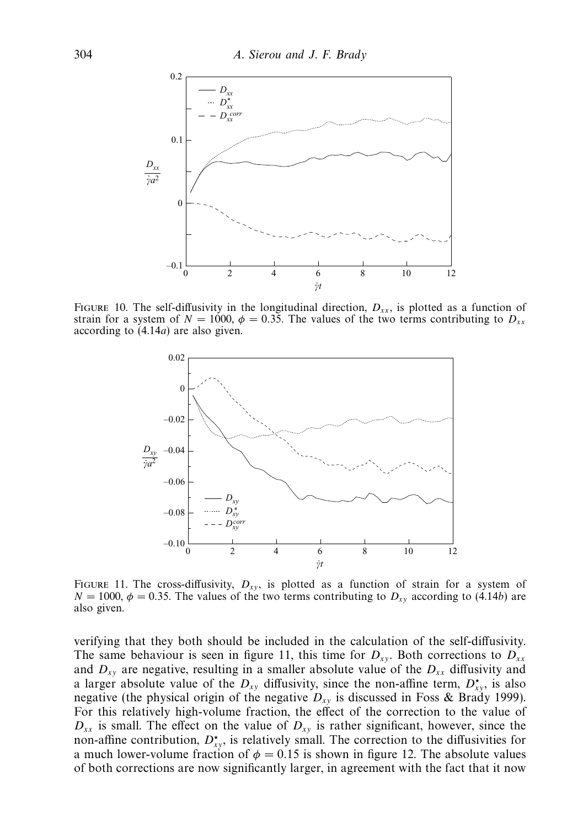

FIGURE 10. The self-diffusivity in the longitudinal direction,  $D_{xx}$ , is plotted as a function of strain for a system of  $N = 1000$ ,  $\phi = 0.35$ . The values of the two terms contributing to  $D_{xx}$ according to (4.14a) are also given.



FIGURE 11. The cross-diffusivity,  $D_{xy}$ , is plotted as a function of strain for a system of  $N = 1000$ ,  $\phi = 0.35$ . The values of the two terms contributing to  $D_{xy}$  according to (4.14b) are also given.

verifying that they both should be included in the calculation of the self-diffusivity. The same behaviour is seen in figure 11, this time for  $D_{xy}$ . Both corrections to  $D_{xx}$ and  $D_{xy}$  are negative, resulting in a smaller absolute value of the  $D_{xx}$  diffusivity and a larger absolute value of the  $D_{xy}$  diffusivity, since the non-affine term,  $D_{xy}^{\star}$ , is also negative (the physical origin of the negative  $D_{xy}$  is discussed in Foss & Brady 1999). For this relatively high-volume fraction, the effect of the correction to the value of  $D_{xx}$  is small. The effect on the value of  $D_{xy}$  is rather significant, however, since the non-affine contribution,  $D_{xy}^{\star}$ , is relatively small. The correction to the diffusivities for a much lower-volume fraction of  $\phi = 0.15$  is shown in figure 12. The absolute values of both corrections are now significantly larger, in agreement with the fact that it now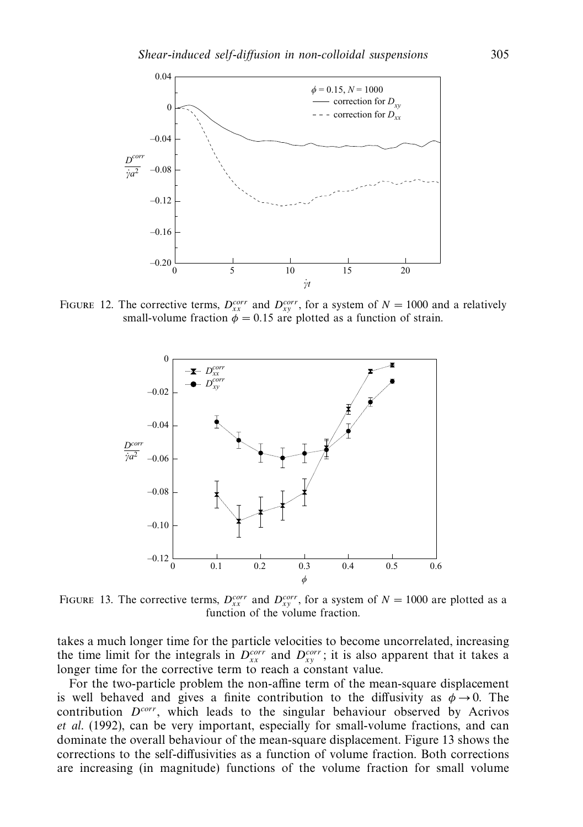

FIGURE 12. The corrective terms,  $D_{xx}^{corr}$  and  $D_{xy}^{corr}$ , for a system of  $N = 1000$  and a relatively small-volume fraction  $\phi = 0.15$  are plotted as a function of strain.



FIGURE 13. The corrective terms,  $D_{xx}^{corr}$  and  $D_{xy}^{corr}$ , for a system of  $N = 1000$  are plotted as a function of the volume fraction.

takes a much longer time for the particle velocities to become uncorrelated, increasing the time limit for the integrals in  $D_{xx}^{corr}$  and  $D_{xy}^{corr}$ ; it is also apparent that it takes a longer time for the corrective term to reach a constant value.

For the two-particle problem the non-affine term of the mean-square displacement is well behaved and gives a finite contribution to the diffusivity as  $\phi \rightarrow 0$ . The contribution *Dcorr*, which leads to the singular behaviour observed by Acrivos et al. (1992), can be very important, especially for small-volume fractions, and can dominate the overall behaviour of the mean-square displacement. Figure 13 shows the corrections to the self-diffusivities as a function of volume fraction. Both corrections are increasing (in magnitude) functions of the volume fraction for small volume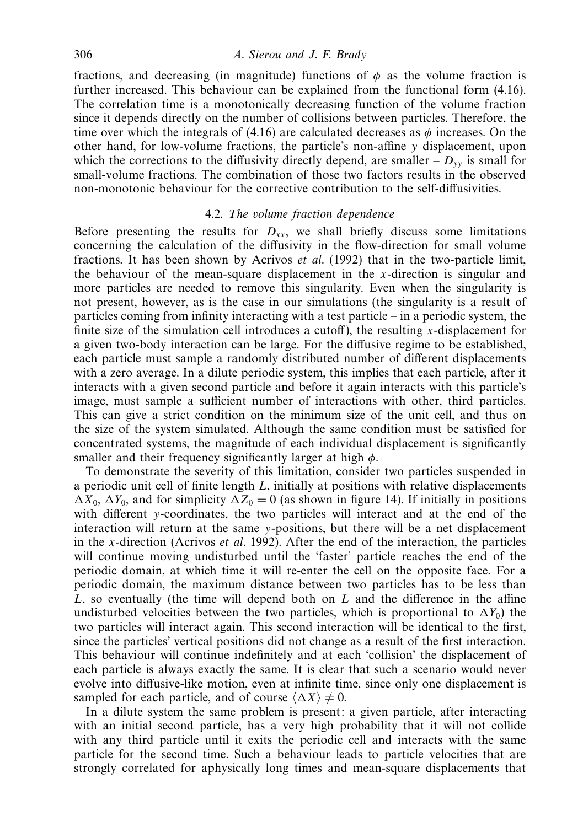fractions, and decreasing (in magnitude) functions of  $\phi$  as the volume fraction is further increased. This behaviour can be explained from the functional form (4.16). The correlation time is a monotonically decreasing function of the volume fraction since it depends directly on the number of collisions between particles. Therefore, the time over which the integrals of (4.16) are calculated decreases as *φ* increases. On the other hand, for low-volume fractions, the particle's non-affine *y* displacement, upon which the corrections to the diffusivity directly depend, are smaller –  $D_{yy}$  is small for small-volume fractions. The combination of those two factors results in the observed non-monotonic behaviour for the corrective contribution to the self-diffusivities.

# 4.2. The volume fraction dependence

Before presenting the results for  $D_{xx}$ , we shall briefly discuss some limitations concerning the calculation of the diffusivity in the flow-direction for small volume fractions. It has been shown by Acrivos et al. (1992) that in the two-particle limit, the behaviour of the mean-square displacement in the *x*-direction is singular and more particles are needed to remove this singularity. Even when the singularity is not present, however, as is the case in our simulations (the singularity is a result of particles coming from infinity interacting with a test particle – in a periodic system, the finite size of the simulation cell introduces a cutoff), the resulting *x*-displacement for a given two-body interaction can be large. For the diffusive regime to be established, each particle must sample a randomly distributed number of different displacements with a zero average. In a dilute periodic system, this implies that each particle, after it interacts with a given second particle and before it again interacts with this particle's image, must sample a sufficient number of interactions with other, third particles. This can give a strict condition on the minimum size of the unit cell, and thus on the size of the system simulated. Although the same condition must be satisfied for concentrated systems, the magnitude of each individual displacement is significantly smaller and their frequency significantly larger at high *φ*.

To demonstrate the severity of this limitation, consider two particles suspended in a periodic unit cell of finite length *L*, initially at positions with relative displacements  $\Delta X_0$ ,  $\Delta Y_0$ , and for simplicity  $\Delta Z_0 = 0$  (as shown in figure 14). If initially in positions with different *y*-coordinates, the two particles will interact and at the end of the interaction will return at the same *y*-positions, but there will be a net displacement in the *x*-direction (Acrivos et al. 1992). After the end of the interaction, the particles will continue moving undisturbed until the 'faster' particle reaches the end of the periodic domain, at which time it will re-enter the cell on the opposite face. For a periodic domain, the maximum distance between two particles has to be less than *L*, so eventually (the time will depend both on *L* and the difference in the affine undisturbed velocities between the two particles, which is proportional to  $\Delta Y_0$ ) the two particles will interact again. This second interaction will be identical to the first, since the particles' vertical positions did not change as a result of the first interaction. This behaviour will continue indefinitely and at each 'collision' the displacement of each particle is always exactly the same. It is clear that such a scenario would never evolve into diffusive-like motion, even at infinite time, since only one displacement is sampled for each particle, and of course  $\langle \Delta X \rangle \neq 0$ .

In a dilute system the same problem is present: a given particle, after interacting with an initial second particle, has a very high probability that it will not collide with any third particle until it exits the periodic cell and interacts with the same particle for the second time. Such a behaviour leads to particle velocities that are strongly correlated for aphysically long times and mean-square displacements that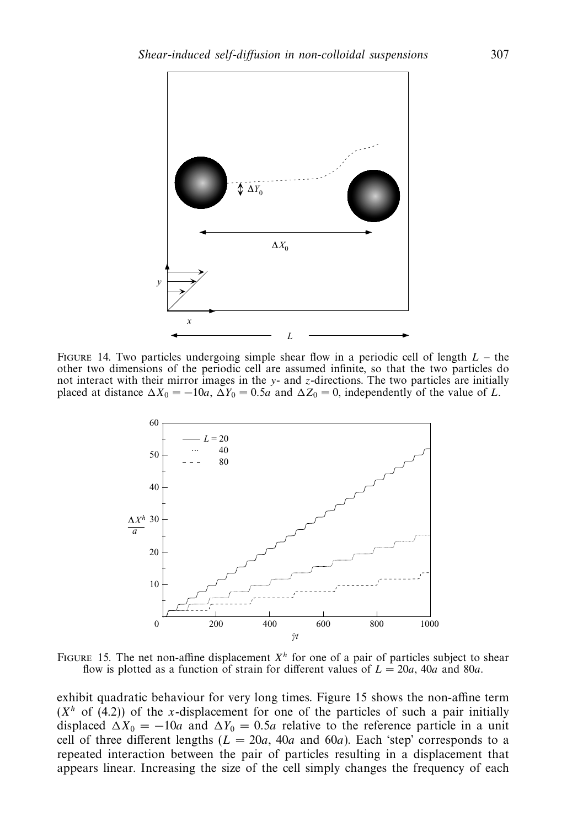

Figure 14. Two particles undergoing simple shear flow in a periodic cell of length *L* – the other two dimensions of the periodic cell are assumed infinite, so that the two particles do not interact with their mirror images in the *y*- and *z*-directions. The two particles are initially placed at distance  $\Delta X_0 = -10a$ ,  $\Delta Y_0 = 0.5a$  and  $\Delta Z_0 = 0$ , independently of the value of *L*.



FIGURE 15. The net non-affine displacement  $X^h$  for one of a pair of particles subject to shear flow is plotted as a function of strain for different values of  $L = 20a$ , 40*a* and 80*a*.

exhibit quadratic behaviour for very long times. Figure 15 shows the non-affine term  $(X<sup>h</sup>$  of (4.2)) of the *x*-displacement for one of the particles of such a pair initially displaced  $\Delta X_0 = -10a$  and  $\Delta Y_0 = 0.5a$  relative to the reference particle in a unit cell of three different lengths  $(L = 20a, 40a$  and  $60a)$ . Each 'step' corresponds to a repeated interaction between the pair of particles resulting in a displacement that appears linear. Increasing the size of the cell simply changes the frequency of each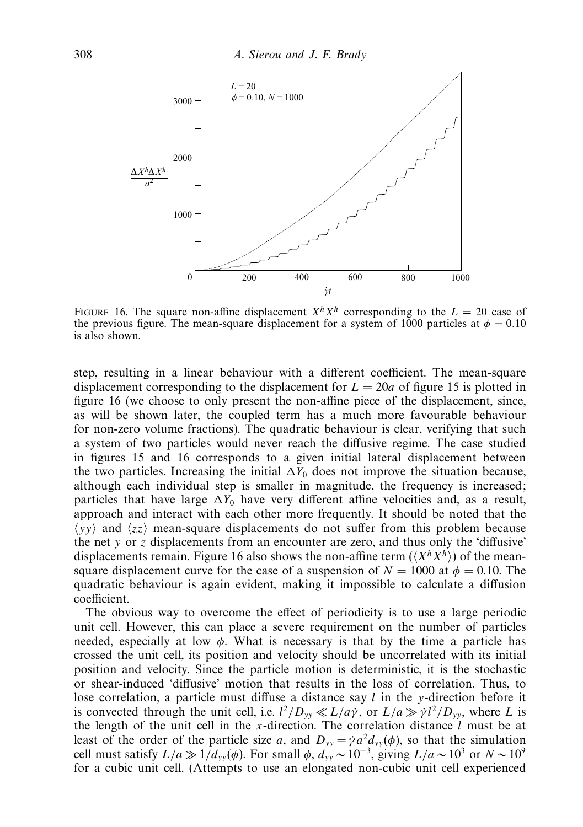

FIGURE 16. The square non-affine displacement  $X^h X^h$  corresponding to the  $L = 20$  case of the previous figure. The mean-square displacement for a system of 1000 particles at  $\phi = 0.10$ is also shown.

step, resulting in a linear behaviour with a different coefficient. The mean-square displacement corresponding to the displacement for  $L = 20a$  of figure 15 is plotted in figure 16 (we choose to only present the non-affine piece of the displacement, since, as will be shown later, the coupled term has a much more favourable behaviour for non-zero volume fractions). The quadratic behaviour is clear, verifying that such a system of two particles would never reach the diffusive regime. The case studied in figures 15 and 16 corresponds to a given initial lateral displacement between the two particles. Increasing the initial  $\Delta Y_0$  does not improve the situation because, although each individual step is smaller in magnitude, the frequency is increased; particles that have large  $\Delta Y_0$  have very different affine velocities and, as a result, approach and interact with each other more frequently. It should be noted that the  $\langle yy \rangle$  and  $\langle zz \rangle$  mean-square displacements do not suffer from this problem because the net *y* or *z* displacements from an encounter are zero, and thus only the 'diffusive' displacements remain. Figure 16 also shows the non-affine term  $(\langle X^h X^h \rangle)$  of the meansquare displacement curve for the case of a suspension of  $N = 1000$  at  $\phi = 0.10$ . The quadratic behaviour is again evident, making it impossible to calculate a diffusion coefficient.

The obvious way to overcome the effect of periodicity is to use a large periodic unit cell. However, this can place a severe requirement on the number of particles needed, especially at low  $\phi$ . What is necessary is that by the time a particle has crossed the unit cell, its position and velocity should be uncorrelated with its initial position and velocity. Since the particle motion is deterministic, it is the stochastic or shear-induced 'diffusive' motion that results in the loss of correlation. Thus, to lose correlation, a particle must diffuse a distance say *l* in the *y*-direction before it is convected through the unit cell, i.e.  $l^2/D_{yy} \ll L/a\gamma$ , or  $L/a \gg \gamma l^2/D_{yy}$ , where *L* is the length of the unit cell in the *x*-direction. The correlation distance *l* must be at least of the order of the particle size *a*, and  $D_{yy} = \dot{\gamma} a^2 d_{yy}(\phi)$ , so that the simulation cell must satisfy  $L/a \gg 1/d_{yy}(\phi)$ . For small  $\phi$ ,  $d_{yy} \sim 10^{-3}$ , giving  $L/a \sim 10^{3}$  or  $N \sim 10^{9}$ for a cubic unit cell. (Attempts to use an elongated non-cubic unit cell experienced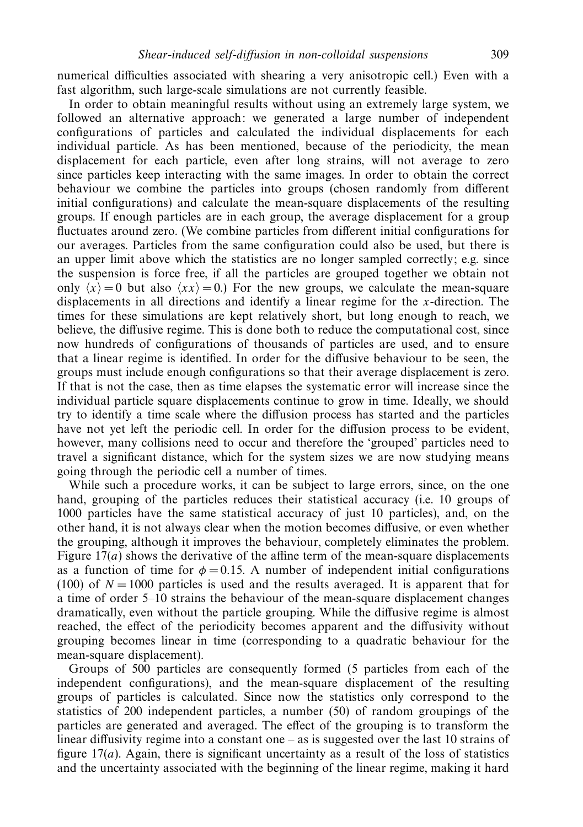numerical difficulties associated with shearing a very anisotropic cell.) Even with a fast algorithm, such large-scale simulations are not currently feasible.

In order to obtain meaningful results without using an extremely large system, we followed an alternative approach: we generated a large number of independent configurations of particles and calculated the individual displacements for each individual particle. As has been mentioned, because of the periodicity, the mean displacement for each particle, even after long strains, will not average to zero since particles keep interacting with the same images. In order to obtain the correct behaviour we combine the particles into groups (chosen randomly from different initial configurations) and calculate the mean-square displacements of the resulting groups. If enough particles are in each group, the average displacement for a group fluctuates around zero. (We combine particles from different initial configurations for our averages. Particles from the same configuration could also be used, but there is an upper limit above which the statistics are no longer sampled correctly; e.g. since the suspension is force free, if all the particles are grouped together we obtain not only  $\langle x \rangle = 0$  but also  $\langle xx \rangle = 0$ .) For the new groups, we calculate the mean-square displacements in all directions and identify a linear regime for the *x*-direction. The times for these simulations are kept relatively short, but long enough to reach, we believe, the diffusive regime. This is done both to reduce the computational cost, since now hundreds of configurations of thousands of particles are used, and to ensure that a linear regime is identified. In order for the diffusive behaviour to be seen, the groups must include enough configurations so that their average displacement is zero. If that is not the case, then as time elapses the systematic error will increase since the individual particle square displacements continue to grow in time. Ideally, we should try to identify a time scale where the diffusion process has started and the particles have not yet left the periodic cell. In order for the diffusion process to be evident, however, many collisions need to occur and therefore the 'grouped' particles need to travel a significant distance, which for the system sizes we are now studying means going through the periodic cell a number of times.

While such a procedure works, it can be subject to large errors, since, on the one hand, grouping of the particles reduces their statistical accuracy (i.e. 10 groups of 1000 particles have the same statistical accuracy of just 10 particles), and, on the other hand, it is not always clear when the motion becomes diffusive, or even whether the grouping, although it improves the behaviour, completely eliminates the problem. Figure  $17(a)$  shows the derivative of the affine term of the mean-square displacements as a function of time for  $\phi = 0.15$ . A number of independent initial configurations  $(100)$  of  $N = 1000$  particles is used and the results averaged. It is apparent that for a time of order 5–10 strains the behaviour of the mean-square displacement changes dramatically, even without the particle grouping. While the diffusive regime is almost reached, the effect of the periodicity becomes apparent and the diffusivity without grouping becomes linear in time (corresponding to a quadratic behaviour for the mean-square displacement).

Groups of 500 particles are consequently formed (5 particles from each of the independent configurations), and the mean-square displacement of the resulting groups of particles is calculated. Since now the statistics only correspond to the statistics of 200 independent particles, a number (50) of random groupings of the particles are generated and averaged. The effect of the grouping is to transform the linear diffusivity regime into a constant one – as is suggested over the last 10 strains of figure 17(*a*). Again, there is significant uncertainty as a result of the loss of statistics and the uncertainty associated with the beginning of the linear regime, making it hard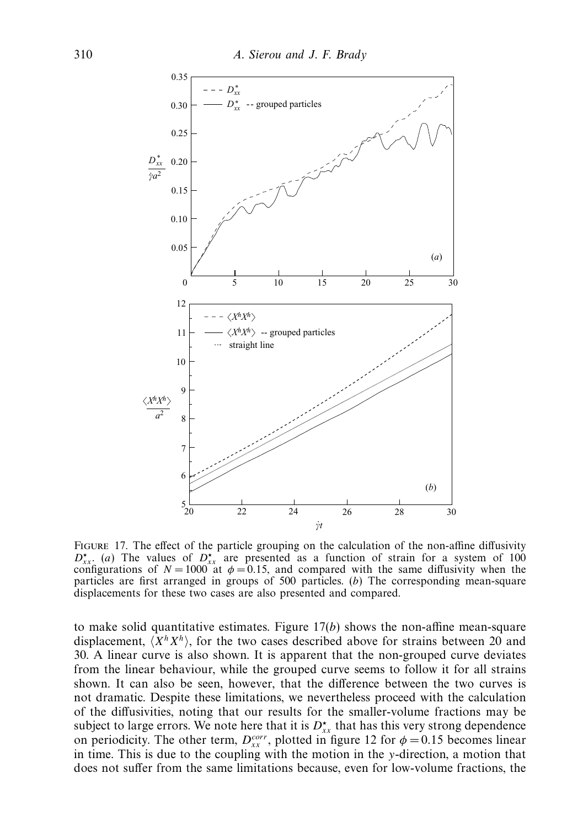

FIGURE 17. The effect of the particle grouping on the calculation of the non-affine diffusivity  $D_{xx}^{\star}$  (*a*) The values of  $D_{xx}^{\star}$  are presented as a function of strain for a system of 100 configurations of  $N = 1000$  at  $\phi = 0.15$ , and compared with the same diffusivity when the particles are first arranged in groups of 500 particles. (*b*) The corresponding mean-square displacements for these two cases are also presented and compared.

to make solid quantitative estimates. Figure 17(*b*) shows the non-affine mean-square displacement,  $\langle X^h X^h \rangle$ , for the two cases described above for strains between 20 and 30. A linear curve is also shown. It is apparent that the non-grouped curve deviates from the linear behaviour, while the grouped curve seems to follow it for all strains shown. It can also be seen, however, that the difference between the two curves is not dramatic. Despite these limitations, we nevertheless proceed with the calculation of the diffusivities, noting that our results for the smaller-volume fractions may be subject to large errors. We note here that it is  $D_{xx}^{\star}$  that has this very strong dependence on periodicity. The other term,  $D_{xx}^{corr}$ , plotted in figure 12 for  $\phi = 0.15$  becomes linear in time. This is due to the coupling with the motion in the *y*-direction, a motion that does not suffer from the same limitations because, even for low-volume fractions, the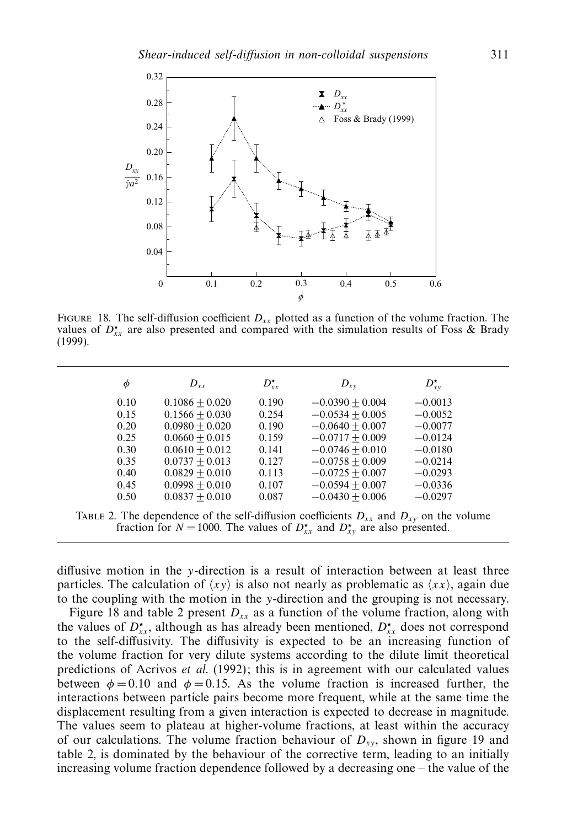

FIGURE 18. The self-diffusion coefficient  $D_{xx}$  plotted as a function of the volume fraction. The values of  $D_{xx}^{\star}$  are also presented and compared with the simulation results of Foss & Brady (1999).

| φ    | $D_{xx}$         | $D^\star_{xx}$ | $D_{xy}$          | $D_{xy}^{\star}$ |
|------|------------------|----------------|-------------------|------------------|
| 0.10 | $0.1086 + 0.020$ | 0.190          | $-0.0390 + 0.004$ | $-0.0013$        |
| 0.15 | $0.1566 + 0.030$ | 0.254          | $-0.0534 + 0.005$ | $-0.0052$        |
| 0.20 | $0.0980 + 0.020$ | 0.190          | $-0.0640 + 0.007$ | $-0.0077$        |
| 0.25 | $0.0660 + 0.015$ | 0.159          | $-0.0717 + 0.009$ | $-0.0124$        |
| 0.30 | $0.0610 + 0.012$ | 0.141          | $-0.0746 + 0.010$ | $-0.0180$        |
| 0.35 | $0.0737 + 0.013$ | 0.127          | $-0.0758 + 0.009$ | $-0.0214$        |
| 0.40 | $0.0829 + 0.010$ | 0.113          | $-0.0725 + 0.007$ | $-0.0293$        |
| 0.45 | $0.0998 + 0.010$ | 0.107          | $-0.0594 + 0.007$ | $-0.0336$        |
| 0.50 | $0.0837 + 0.010$ | 0.087          | $-0.0430 + 0.006$ | $-0.0297$        |

fraction for  $N = 1000$ . The values of  $D_{xx}^{\star}$  and  $D_{xy}^{\star}$  are also presented.

diffusive motion in the *y*-direction is a result of interaction between at least three particles. The calculation of  $\langle xy \rangle$  is also not nearly as problematic as  $\langle xx \rangle$ , again due to the coupling with the motion in the *y*-direction and the grouping is not necessary.

Figure 18 and table 2 present  $D_{xx}$  as a function of the volume fraction, along with the values of  $D_{xx}^{\star}$ , although as has already been mentioned,  $D_{xx}^{\star}$  does not correspond to the self-diffusivity. The diffusivity is expected to be an increasing function of the volume fraction for very dilute systems according to the dilute limit theoretical predictions of Acrivos et al. (1992); this is in agreement with our calculated values between  $\phi = 0.10$  and  $\phi = 0.15$ . As the volume fraction is increased further, the interactions between particle pairs become more frequent, while at the same time the displacement resulting from a given interaction is expected to decrease in magnitude. The values seem to plateau at higher-volume fractions, at least within the accuracy of our calculations. The volume fraction behaviour of  $D_{xy}$ , shown in figure 19 and table 2, is dominated by the behaviour of the corrective term, leading to an initially increasing volume fraction dependence followed by a decreasing one – the value of the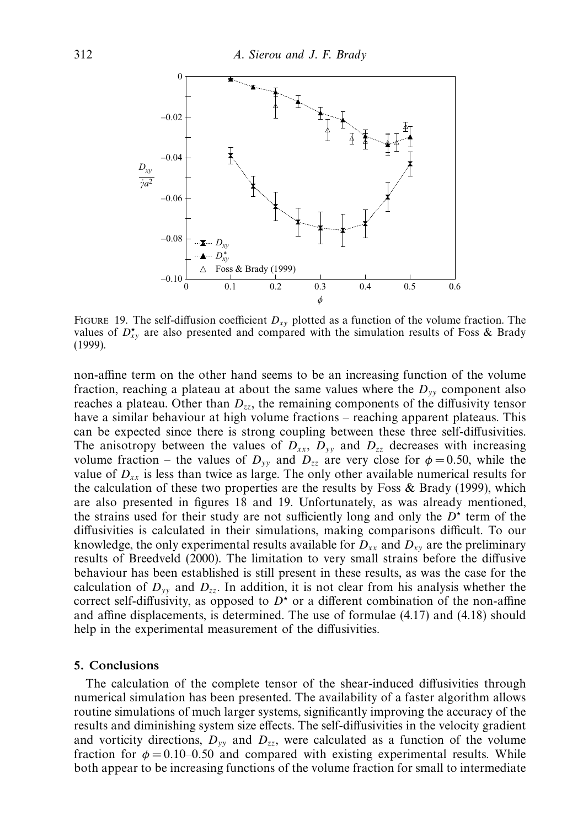

FIGURE 19. The self-diffusion coefficient  $D_{xy}$  plotted as a function of the volume fraction. The values of  $D_{xy}^{\star}$  are also presented and compared with the simulation results of Foss & Brady (1999).

non-affine term on the other hand seems to be an increasing function of the volume fraction, reaching a plateau at about the same values where the  $D_{yy}$  component also reaches a plateau. Other than  $D_{zz}$ , the remaining components of the diffusivity tensor have a similar behaviour at high volume fractions – reaching apparent plateaus. This can be expected since there is strong coupling between these three self-diffusivities. The anisotropy between the values of  $D_{xx}$ ,  $D_{yy}$  and  $D_{zz}$  decreases with increasing volume fraction – the values of  $D_{yy}$  and  $D_{zz}$  are very close for  $\phi = 0.50$ , while the value of *Dxx* is less than twice as large. The only other available numerical results for the calculation of these two properties are the results by Foss  $\&$  Brady (1999), which are also presented in figures 18 and 19. Unfortunately, as was already mentioned, the strains used for their study are not sufficiently long and only the  $D^*$  term of the diffusivities is calculated in their simulations, making comparisons difficult. To our knowledge, the only experimental results available for  $D_{xx}$  and  $D_{xy}$  are the preliminary results of Breedveld (2000). The limitation to very small strains before the diffusive behaviour has been established is still present in these results, as was the case for the calculation of  $D_{yy}$  and  $D_{zz}$ . In addition, it is not clear from his analysis whether the correct self-diffusivity, as opposed to  $D^*$  or a different combination of the non-affine and affine displacements, is determined. The use of formulae (4.17) and (4.18) should help in the experimental measurement of the diffusivities.

#### *5. Conclusions*

The calculation of the complete tensor of the shear-induced diffusivities through numerical simulation has been presented. The availability of a faster algorithm allows routine simulations of much larger systems, significantly improving the accuracy of the results and diminishing system size effects. The self-diffusivities in the velocity gradient and vorticity directions,  $D_{yy}$  and  $D_{zz}$ , were calculated as a function of the volume fraction for  $\phi = 0.10 - 0.50$  and compared with existing experimental results. While both appear to be increasing functions of the volume fraction for small to intermediate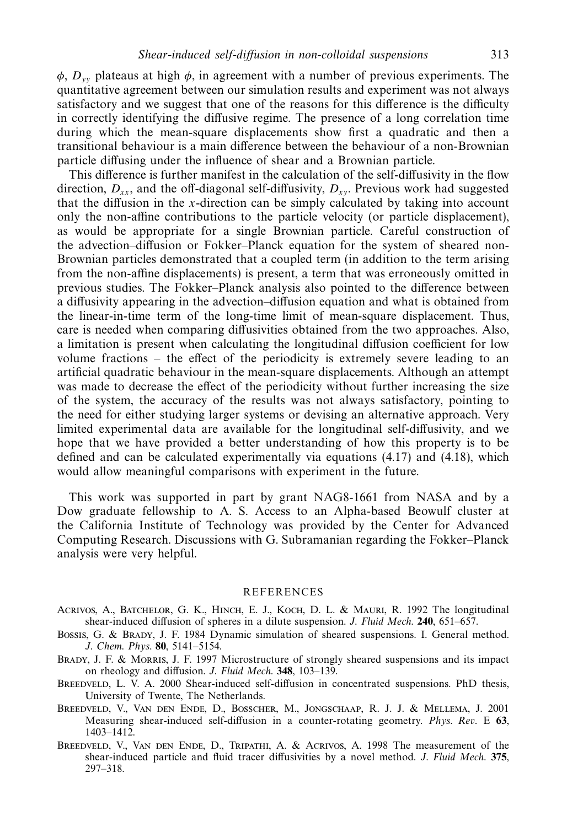$\phi$ ,  $D_{yy}$  plateaus at high  $\phi$ , in agreement with a number of previous experiments. The quantitative agreement between our simulation results and experiment was not always satisfactory and we suggest that one of the reasons for this difference is the difficulty in correctly identifying the diffusive regime. The presence of a long correlation time during which the mean-square displacements show first a quadratic and then a transitional behaviour is a main difference between the behaviour of a non-Brownian particle diffusing under the influence of shear and a Brownian particle.

This difference is further manifest in the calculation of the self-diffusivity in the flow direction,  $D_{xx}$ , and the off-diagonal self-diffusivity,  $D_{xy}$ . Previous work had suggested that the diffusion in the *x*-direction can be simply calculated by taking into account only the non-affine contributions to the particle velocity (or particle displacement), as would be appropriate for a single Brownian particle. Careful construction of the advection–diffusion or Fokker–Planck equation for the system of sheared non-Brownian particles demonstrated that a coupled term (in addition to the term arising from the non-affine displacements) is present, a term that was erroneously omitted in previous studies. The Fokker–Planck analysis also pointed to the difference between a diffusivity appearing in the advection–diffusion equation and what is obtained from the linear-in-time term of the long-time limit of mean-square displacement. Thus, care is needed when comparing diffusivities obtained from the two approaches. Also, a limitation is present when calculating the longitudinal diffusion coefficient for low volume fractions – the effect of the periodicity is extremely severe leading to an artificial quadratic behaviour in the mean-square displacements. Although an attempt was made to decrease the effect of the periodicity without further increasing the size of the system, the accuracy of the results was not always satisfactory, pointing to the need for either studying larger systems or devising an alternative approach. Very limited experimental data are available for the longitudinal self-diffusivity, and we hope that we have provided a better understanding of how this property is to be defined and can be calculated experimentally via equations (4.17) and (4.18), which would allow meaningful comparisons with experiment in the future.

This work was supported in part by grant NAG8-1661 from NASA and by a Dow graduate fellowship to A. S. Access to an Alpha-based Beowulf cluster at the California Institute of Technology was provided by the Center for Advanced Computing Research. Discussions with G. Subramanian regarding the Fokker–Planck analysis were very helpful.

#### REFERENCES

- Acrivos, A., Batchelor, G. K., Hinch, E. J., Koch, D. L. & Mauri, R. 1992 The longitudinal shear-induced diffusion of spheres in a dilute suspension. J. Fluid Mech. **240**, 651–657.
- Bossis, G. & Brady, J. F. 1984 Dynamic simulation of sheared suspensions. I. General method. J. Chem. Phys. **80**, 5141–5154.
- Brady, J. F. & Morris, J. F. 1997 Microstructure of strongly sheared suspensions and its impact on rheology and diffusion. J. Fluid Mech. **348**, 103–139.
- BREEDVELD, L. V. A. 2000 Shear-induced self-diffusion in concentrated suspensions. PhD thesis, University of Twente, The Netherlands.
- Breedveld, V., Van den Ende, D., Bosscher, M., Jongschaap, R. J. J. & Mellema, J. 2001 Measuring shear-induced self-diffusion in a counter-rotating geometry. Phys. Rev. E **63**, 1403–1412.
- Breedveld, V., Van den Ende, D., Tripathi, A. & Acrivos, A. 1998 The measurement of the shear-induced particle and fluid tracer diffusivities by a novel method. J. Fluid Mech. **375**, 297–318.